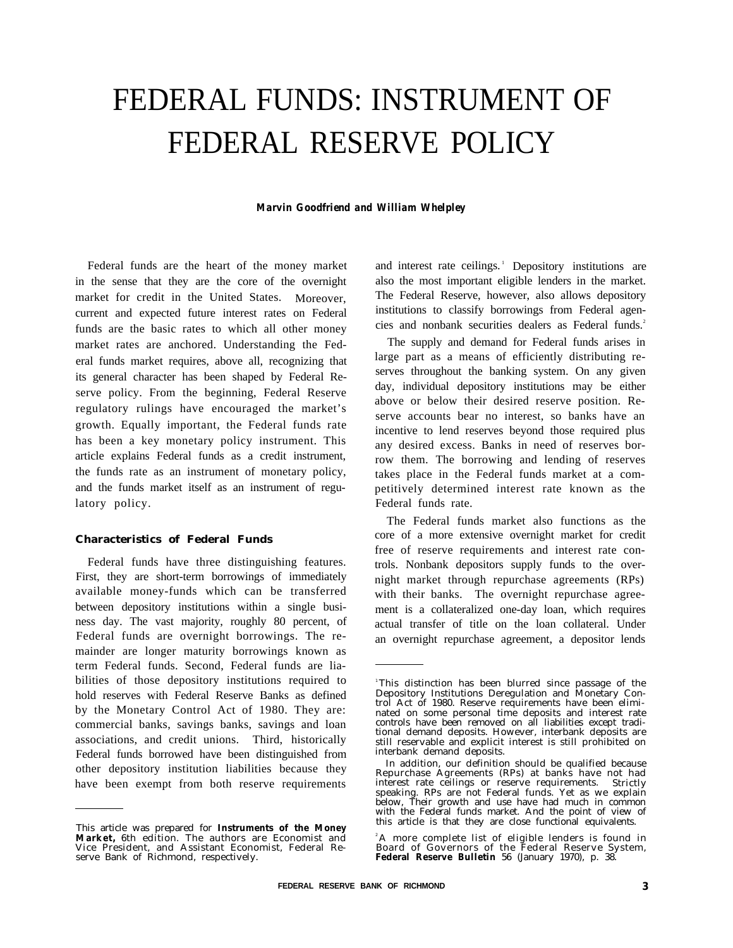# FEDERAL FUNDS: INSTRUMENT OF FEDERAL RESERVE POLICY

#### *Marvin Goodfriend and William Whelpley*

Federal funds are the heart of the money market in the sense that they are the core of the overnight market for credit in the United States. Moreover, current and expected future interest rates on Federal funds are the basic rates to which all other money market rates are anchored. Understanding the Federal funds market requires, above all, recognizing that its general character has been shaped by Federal Reserve policy. From the beginning, Federal Reserve regulatory rulings have encouraged the market's growth. Equally important, the Federal funds rate has been a key monetary policy instrument. This article explains Federal funds as a credit instrument, the funds rate as an instrument of monetary policy, and the funds market itself as an instrument of regulatory policy.

# **Characteristics of Federal Funds**

Federal funds have three distinguishing features. First, they are short-term borrowings of immediately available money-funds which can be transferred between depository institutions within a single business day. The vast majority, roughly 80 percent, of Federal funds are overnight borrowings. The remainder are longer maturity borrowings known as term Federal funds. Second, Federal funds are liabilities of those depository institutions required to hold reserves with Federal Reserve Banks as defined by the Monetary Control Act of 1980. They are: commercial banks, savings banks, savings and loan associations, and credit unions. Third, historically Federal funds borrowed have been distinguished from other depository institution liabilities because they have been exempt from both reserve requirements

and interest rate ceilings.<sup>1</sup> Depository institutions are also the most important eligible lenders in the market. The Federal Reserve, however, also allows depository institutions to classify borrowings from Federal agencies and nonbank securities dealers as Federal funds.<sup>2</sup>

The supply and demand for Federal funds arises in large part as a means of efficiently distributing reserves throughout the banking system. On any given day, individual depository institutions may be either above or below their desired reserve position. Reserve accounts bear no interest, so banks have an incentive to lend reserves beyond those required plus any desired excess. Banks in need of reserves borrow them. The borrowing and lending of reserves takes place in the Federal funds market at a competitively determined interest rate known as the Federal funds rate.

The Federal funds market also functions as the core of a more extensive overnight market for credit free of reserve requirements and interest rate controls. Nonbank depositors supply funds to the overnight market through repurchase agreements (RPs) with their banks. The overnight repurchase agreement is a collateralized one-day loan, which requires actual transfer of title on the loan collateral. Under an overnight repurchase agreement, a depositor lends

This article was prepared for **Instruments of the Money Market,** 6th edition. The authors are Economist and Vice President, and Assistant Economist, Federal Reserve Bank of Richmond, respectively.

<sup>1</sup>This distinction has been blurred since passage of the Depository Institutions Deregulation and Monetary Control Act of 1980. Reserve requirements have been eliminated on some personal time deposits and interest rate controls have been removed on all liabilities except traditional demand deposits. However, interbank deposits are still reservable and explicit interest is still prohibited on interbank demand deposits.

In addition, our definition should be qualified because Repurchase Agreements (RPs) at banks have not had interest rate ceilings or reserve requirements. Strictly speaking. RPs are not Federal funds. Yet as we explain below, Their growth and use have had much in common with the Federal funds market. And the point of view of this article is that they are close functional equivalents.

<sup>&</sup>lt;sup>2</sup>A more complete list of eligible lenders is found in Board of Governors of the Federal Reserve System, **Federal Reserve Bulletin** 56 (January 1970), p. 38.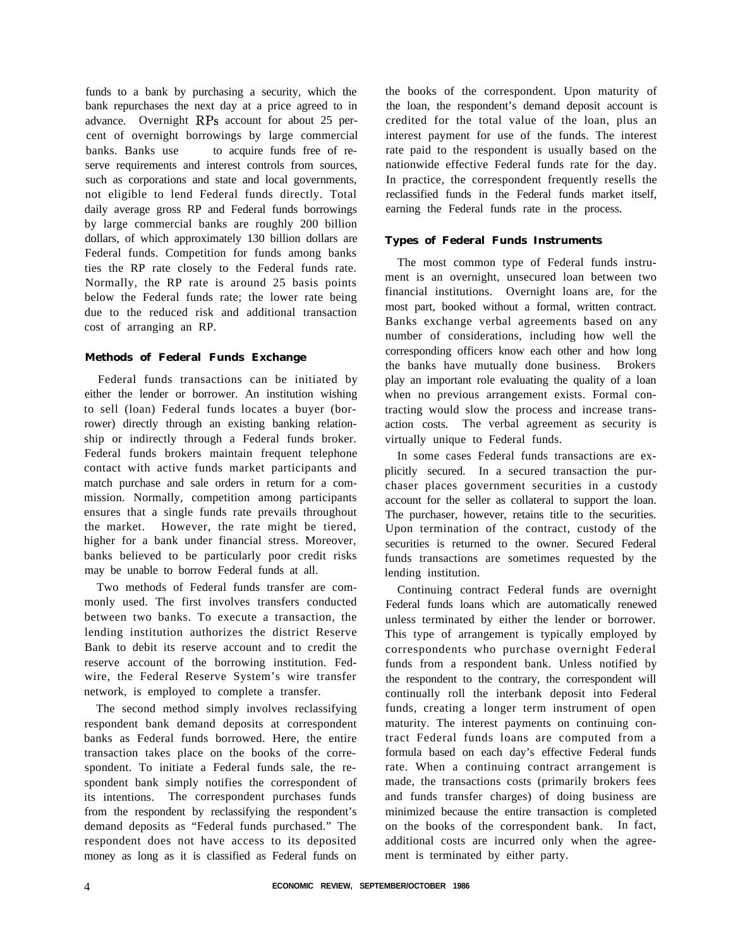funds to a bank by purchasing a security, which the bank repurchases the next day at a price agreed to in advance. Overnight RPs account for about 25 percent of overnight borrowings by large commercial banks. Banks use to acquire funds free of reserve requirements and interest controls from sources, such as corporations and state and local governments, not eligible to lend Federal funds directly. Total daily average gross RP and Federal funds borrowings by large commercial banks are roughly 200 billion dollars, of which approximately 130 billion dollars are Federal funds. Competition for funds among banks ties the RP rate closely to the Federal funds rate. Normally, the RP rate is around 25 basis points below the Federal funds rate; the lower rate being due to the reduced risk and additional transaction cost of arranging an RP.

# **Methods of Federal Funds Exchange**

Federal funds transactions can be initiated by either the lender or borrower. An institution wishing to sell (loan) Federal funds locates a buyer (borrower) directly through an existing banking relationship or indirectly through a Federal funds broker. Federal funds brokers maintain frequent telephone contact with active funds market participants and match purchase and sale orders in return for a commission. Normally, competition among participants ensures that a single funds rate prevails throughout the market. However, the rate might be tiered, higher for a bank under financial stress. Moreover, banks believed to be particularly poor credit risks may be unable to borrow Federal funds at all.

Two methods of Federal funds transfer are commonly used. The first involves transfers conducted between two banks. To execute a transaction, the lending institution authorizes the district Reserve Bank to debit its reserve account and to credit the reserve account of the borrowing institution. Fedwire, the Federal Reserve System's wire transfer network, is employed to complete a transfer.

The second method simply involves reclassifying respondent bank demand deposits at correspondent banks as Federal funds borrowed. Here, the entire transaction takes place on the books of the correspondent. To initiate a Federal funds sale, the respondent bank simply notifies the correspondent of its intentions. The correspondent purchases funds from the respondent by reclassifying the respondent's demand deposits as "Federal funds purchased." The respondent does not have access to its deposited money as long as it is classified as Federal funds on

the books of the correspondent. Upon maturity of the loan, the respondent's demand deposit account is credited for the total value of the loan, plus an interest payment for use of the funds. The interest rate paid to the respondent is usually based on the nationwide effective Federal funds rate for the day. In practice, the correspondent frequently resells the reclassified funds in the Federal funds market itself, earning the Federal funds rate in the process.

# **Types of Federal Funds Instruments**

The most common type of Federal funds instrument is an overnight, unsecured loan between two financial institutions. Overnight loans are, for the most part, booked without a formal, written contract. Banks exchange verbal agreements based on any number of considerations, including how well the corresponding officers know each other and how long the banks have mutually done business. Brokers play an important role evaluating the quality of a loan when no previous arrangement exists. Formal contracting would slow the process and increase transaction costs. The verbal agreement as security is virtually unique to Federal funds.

In some cases Federal funds transactions are explicitly secured. In a secured transaction the purchaser places government securities in a custody account for the seller as collateral to support the loan. The purchaser, however, retains title to the securities. Upon termination of the contract, custody of the securities is returned to the owner. Secured Federal funds transactions are sometimes requested by the lending institution.

Continuing contract Federal funds are overnight Federal funds loans which are automatically renewed unless terminated by either the lender or borrower. This type of arrangement is typically employed by correspondents who purchase overnight Federal funds from a respondent bank. Unless notified by the respondent to the contrary, the correspondent will continually roll the interbank deposit into Federal funds, creating a longer term instrument of open maturity. The interest payments on continuing contract Federal funds loans are computed from a formula based on each day's effective Federal funds rate. When a continuing contract arrangement is made, the transactions costs (primarily brokers fees and funds transfer charges) of doing business are minimized because the entire transaction is completed on the books of the correspondent bank. In fact, additional costs are incurred only when the agreement is terminated by either party.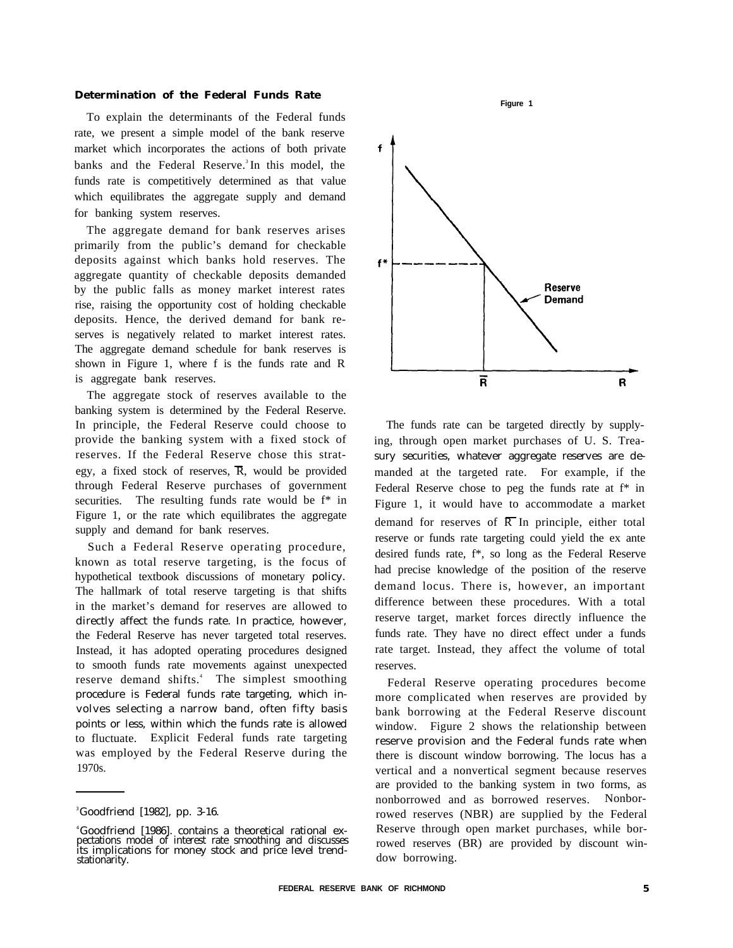#### **Determination of the Federal Funds Rate**

To explain the determinants of the Federal funds rate, we present a simple model of the bank reserve market which incorporates the actions of both private banks and the Federal Reserve.<sup>3</sup>In this model, the funds rate is competitively determined as that value which equilibrates the aggregate supply and demand for banking system reserves.

The aggregate demand for bank reserves arises primarily from the public's demand for checkable deposits against which banks hold reserves. The aggregate quantity of checkable deposits demanded by the public falls as money market interest rates rise, raising the opportunity cost of holding checkable deposits. Hence, the derived demand for bank reserves is negatively related to market interest rates. The aggregate demand schedule for bank reserves is shown in Figure 1, where f is the funds rate and R is aggregate bank reserves.

The aggregate stock of reserves available to the banking system is determined by the Federal Reserve. In principle, the Federal Reserve could choose to provide the banking system with a fixed stock of reserves. If the Federal Reserve chose this strategy, a fixed stock of reserves.  $\overline{R}$ , would be provided through Federal Reserve purchases of government securities. The resulting funds rate would be f\* in Figure 1, or the rate which equilibrates the aggregate supply and demand for bank reserves.

Such a Federal Reserve operating procedure, known as total reserve targeting, is the focus of hypothetical textbook discussions of monetary policy. The hallmark of total reserve targeting is that shifts in the market's demand for reserves are allowed to directly affect the funds rate. In practice, however, the Federal Reserve has never targeted total reserves. Instead, it has adopted operating procedures designed to smooth funds rate movements against unexpected reserve demand shifts.<sup>4</sup> The simplest smoothing procedure is Federal funds rate targeting, which involves selecting a narrow band, often fifty basis points or less, within which the funds rate is allowed to fluctuate. Explicit Federal funds rate targeting was employed by the Federal Reserve during the 1970s.



The funds rate can be targeted directly by supplying, through open market purchases of U. S. Treasury securities, whatever aggregate reserves are demanded at the targeted rate. For example, if the Federal Reserve chose to peg the funds rate at f\* in Figure 1, it would have to accommodate a market demand for reserves of  $\overline{R}$  In principle, either total reserve or funds rate targeting could yield the ex ante desired funds rate, f\*, so long as the Federal Reserve had precise knowledge of the position of the reserve demand locus. There is, however, an important difference between these procedures. With a total reserve target, market forces directly influence the funds rate. They have no direct effect under a funds rate target. Instead, they affect the volume of total reserves.

Federal Reserve operating procedures become more complicated when reserves are provided by bank borrowing at the Federal Reserve discount window. Figure 2 shows the relationship between reserve provision and the Federal funds rate when there is discount window borrowing. The locus has a vertical and a nonvertical segment because reserves are provided to the banking system in two forms, as nonborrowed and as borrowed reserves. Nonborrowed reserves (NBR) are supplied by the Federal Reserve through open market purchases, while borrowed reserves (BR) are provided by discount window borrowing.

<sup>3</sup>Goodfriend [1982], pp. 3-16.

<sup>4</sup> Goodfriend [1986]. contains a theoretical rational ex-pectations model of interest rate smoothing and discusses its implications for money stock and price level trendstationarity.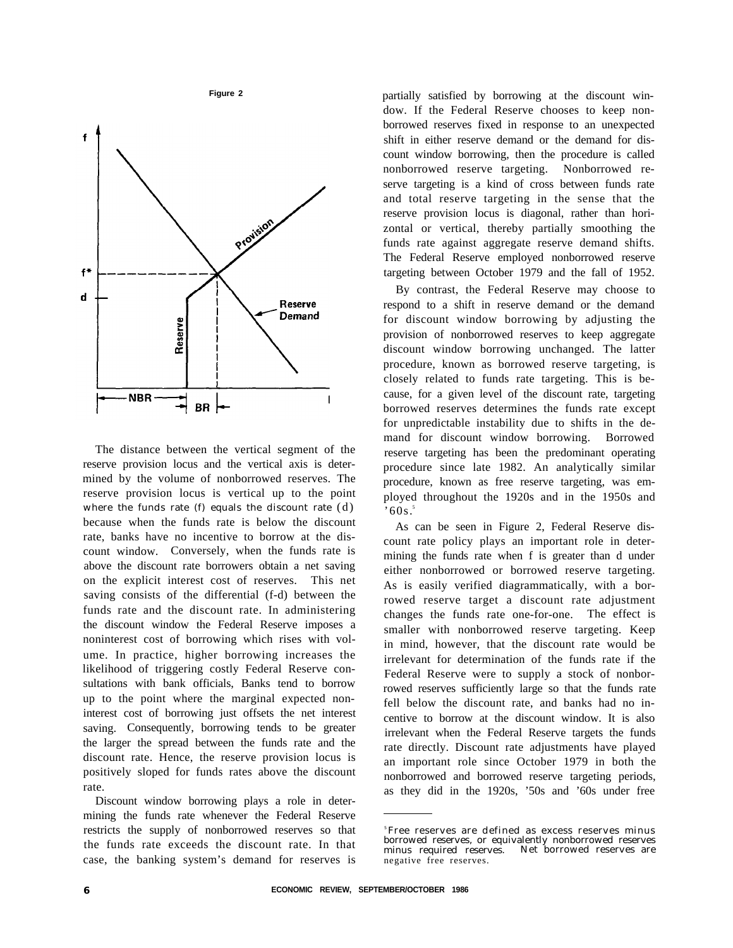

The distance between the vertical segment of the reserve provision locus and the vertical axis is determined by the volume of nonborrowed reserves. The reserve provision locus is vertical up to the point where the funds rate (f) equals the discount rate (d) because when the funds rate is below the discount rate, banks have no incentive to borrow at the discount window. Conversely, when the funds rate is above the discount rate borrowers obtain a net saving on the explicit interest cost of reserves. This net saving consists of the differential (f-d) between the funds rate and the discount rate. In administering the discount window the Federal Reserve imposes a noninterest cost of borrowing which rises with volume. In practice, higher borrowing increases the likelihood of triggering costly Federal Reserve consultations with bank officials, Banks tend to borrow up to the point where the marginal expected noninterest cost of borrowing just offsets the net interest saving. Consequently, borrowing tends to be greater the larger the spread between the funds rate and the discount rate. Hence, the reserve provision locus is positively sloped for funds rates above the discount rate.

Discount window borrowing plays a role in determining the funds rate whenever the Federal Reserve restricts the supply of nonborrowed reserves so that the funds rate exceeds the discount rate. In that case, the banking system's demand for reserves is partially satisfied by borrowing at the discount window. If the Federal Reserve chooses to keep nonborrowed reserves fixed in response to an unexpected shift in either reserve demand or the demand for discount window borrowing, then the procedure is called nonborrowed reserve targeting. Nonborrowed reserve targeting is a kind of cross between funds rate and total reserve targeting in the sense that the reserve provision locus is diagonal, rather than horizontal or vertical, thereby partially smoothing the funds rate against aggregate reserve demand shifts. The Federal Reserve employed nonborrowed reserve targeting between October 1979 and the fall of 1952.

By contrast, the Federal Reserve may choose to respond to a shift in reserve demand or the demand for discount window borrowing by adjusting the provision of nonborrowed reserves to keep aggregate discount window borrowing unchanged. The latter procedure, known as borrowed reserve targeting, is closely related to funds rate targeting. This is because, for a given level of the discount rate, targeting borrowed reserves determines the funds rate except for unpredictable instability due to shifts in the demand for discount window borrowing. Borrowed reserve targeting has been the predominant operating procedure since late 1982. An analytically similar procedure, known as free reserve targeting, was employed throughout the 1920s and in the 1950s and  $.60s.$ <sup>5</sup>

As can be seen in Figure 2, Federal Reserve discount rate policy plays an important role in determining the funds rate when f is greater than d under either nonborrowed or borrowed reserve targeting. As is easily verified diagrammatically, with a borrowed reserve target a discount rate adjustment changes the funds rate one-for-one. The effect is smaller with nonborrowed reserve targeting. Keep in mind, however, that the discount rate would be irrelevant for determination of the funds rate if the Federal Reserve were to supply a stock of nonborrowed reserves sufficiently large so that the funds rate fell below the discount rate, and banks had no incentive to borrow at the discount window. It is also irrelevant when the Federal Reserve targets the funds rate directly. Discount rate adjustments have played an important role since October 1979 in both the nonborrowed and borrowed reserve targeting periods, as they did in the 1920s, '50s and '60s under free

<sup>5</sup>Free reserves are defined as excess reserves minus borrowed reserves, or equivalently nonborrowed reserves Net borrowed reserves are negative free reserves.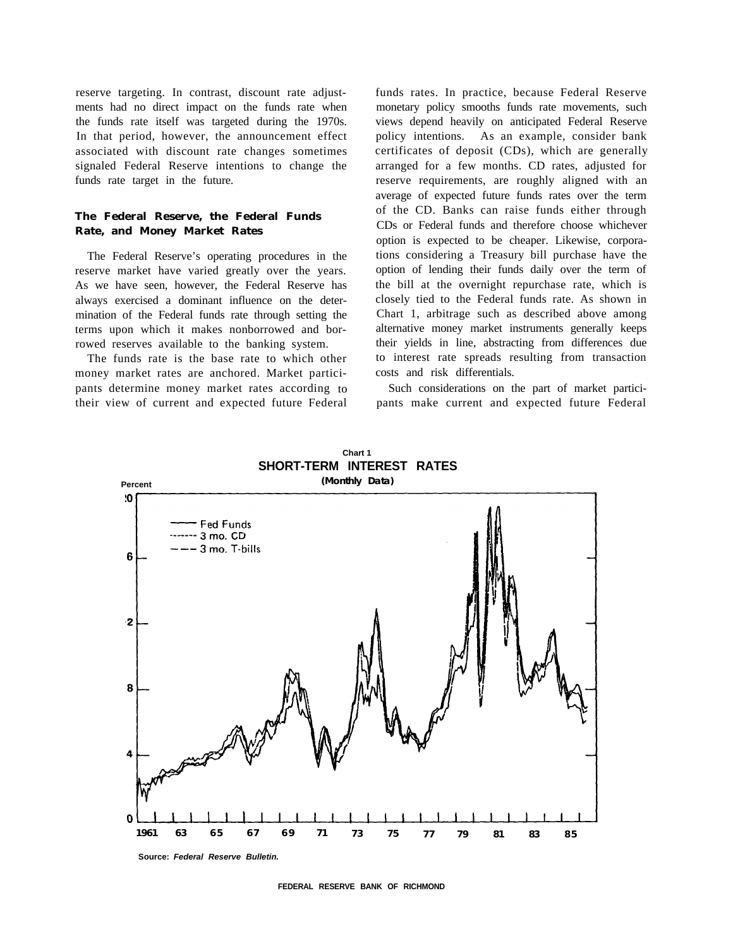reserve targeting. In contrast, discount rate adjustments had no direct impact on the funds rate when the funds rate itself was targeted during the 1970s. In that period, however, the announcement effect associated with discount rate changes sometimes signaled Federal Reserve intentions to change the funds rate target in the future.

# **The Federal Reserve, the Federal Funds Rate, and Money Market Rates**

The Federal Reserve's operating procedures in the reserve market have varied greatly over the years. As we have seen, however, the Federal Reserve has always exercised a dominant influence on the determination of the Federal funds rate through setting the terms upon which it makes nonborrowed and borrowed reserves available to the banking system.

The funds rate is the base rate to which other money market rates are anchored. Market participants determine money market rates according to their view of current and expected future Federal

funds rates. In practice, because Federal Reserve monetary policy smooths funds rate movements, such views depend heavily on anticipated Federal Reserve policy intentions. As an example, consider bank certificates of deposit (CDs), which are generally arranged for a few months. CD rates, adjusted for reserve requirements, are roughly aligned with an average of expected future funds rates over the term of the CD. Banks can raise funds either through CDs or Federal funds and therefore choose whichever option is expected to be cheaper. Likewise, corporations considering a Treasury bill purchase have the option of lending their funds daily over the term of the bill at the overnight repurchase rate, which is closely tied to the Federal funds rate. As shown in Chart 1, arbitrage such as described above among alternative money market instruments generally keeps their yields in line, abstracting from differences due to interest rate spreads resulting from transaction costs and risk differentials.

Such considerations on the part of market participants make current and expected future Federal



**Source:** *Federal Reserve Bulletin.*

**FEDERAL RESERVE BANK OF RICHMOND**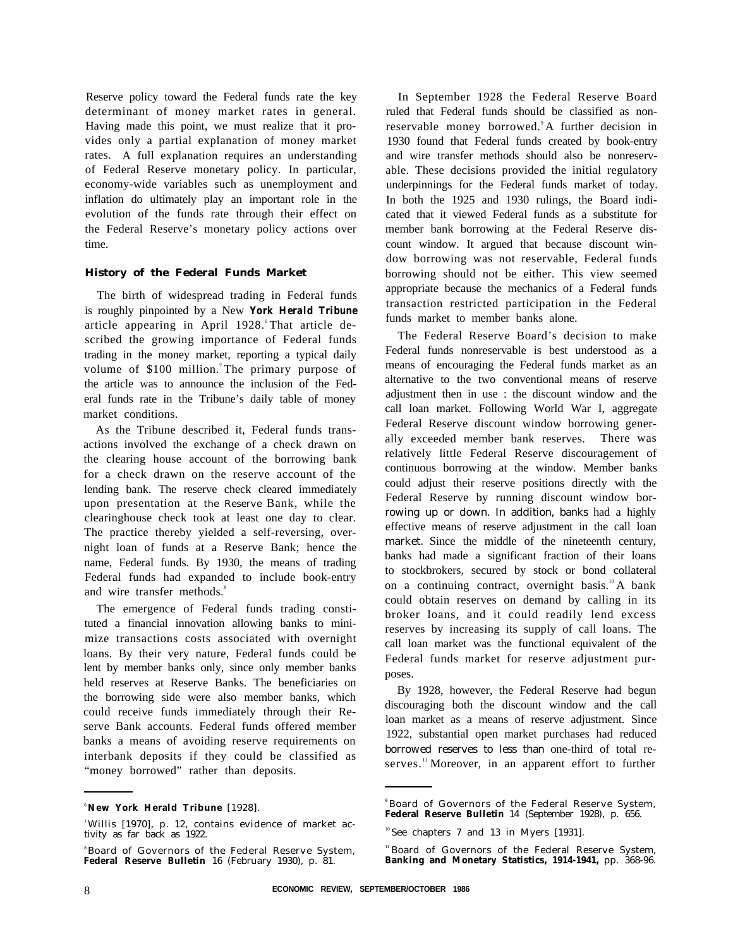Reserve policy toward the Federal funds rate the key determinant of money market rates in general. Having made this point, we must realize that it provides only a partial explanation of money market rates. A full explanation requires an understanding of Federal Reserve monetary policy. In particular, economy-wide variables such as unemployment and inflation do ultimately play an important role in the evolution of the funds rate through their effect on the Federal Reserve's monetary policy actions over time.

# **History of the Federal Funds Market**

The birth of widespread trading in Federal funds is roughly pinpointed by a New *York Herald Tribune* article appearing in April 1928. That article described the growing importance of Federal funds trading in the money market, reporting a typical daily volume of \$100 million.<sup>7</sup>The primary purpose of the article was to announce the inclusion of the Federal funds rate in the Tribune's daily table of money market conditions.

As the Tribune described it, Federal funds transactions involved the exchange of a check drawn on the clearing house account of the borrowing bank for a check drawn on the reserve account of the lending bank. The reserve check cleared immediately upon presentation at the Reserve Bank, while the clearinghouse check took at least one day to clear. The practice thereby yielded a self-reversing, overnight loan of funds at a Reserve Bank; hence the name, Federal funds. By 1930, the means of trading Federal funds had expanded to include book-entry and wire transfer methods.<sup>8</sup>

The emergence of Federal funds trading constituted a financial innovation allowing banks to minimize transactions costs associated with overnight loans. By their very nature, Federal funds could be lent by member banks only, since only member banks held reserves at Reserve Banks. The beneficiaries on the borrowing side were also member banks, which could receive funds immediately through their Reserve Bank accounts. Federal funds offered member banks a means of avoiding reserve requirements on interbank deposits if they could be classified as "money borrowed" rather than deposits.

In September 1928 the Federal Reserve Board ruled that Federal funds should be classified as nonreservable money borrowed.<sup>9</sup>A further decision in 1930 found that Federal funds created by book-entry and wire transfer methods should also be nonreservable. These decisions provided the initial regulatory underpinnings for the Federal funds market of today. In both the 1925 and 1930 rulings, the Board indicated that it viewed Federal funds as a substitute for member bank borrowing at the Federal Reserve discount window. It argued that because discount window borrowing was not reservable, Federal funds borrowing should not be either. This view seemed appropriate because the mechanics of a Federal funds transaction restricted participation in the Federal funds market to member banks alone.

The Federal Reserve Board's decision to make Federal funds nonreservable is best understood as a means of encouraging the Federal funds market as an alternative to the two conventional means of reserve adjustment then in use : the discount window and the call loan market. Following World War I, aggregate Federal Reserve discount window borrowing generally exceeded member bank reserves. There was relatively little Federal Reserve discouragement of continuous borrowing at the window. Member banks could adjust their reserve positions directly with the Federal Reserve by running discount window borrowing up or down. In addition, banks had a highly effective means of reserve adjustment in the call loan market. Since the middle of the nineteenth century, banks had made a significant fraction of their loans to stockbrokers, secured by stock or bond collateral on a continuing contract, overnight basis.<sup>10</sup> A bank could obtain reserves on demand by calling in its broker loans, and it could readily lend excess reserves by increasing its supply of call loans. The call loan market was the functional equivalent of the Federal funds market for reserve adjustment purposes.

By 1928, however, the Federal Reserve had begun discouraging both the discount window and the call loan market as a means of reserve adjustment. Since 1922, substantial open market purchases had reduced borrowed reserves to less than one-third of total reserves.<sup>11</sup> Moreover, in an apparent effort to further

<sup>6</sup>**New York Herald Tribune** [1928].

<sup>7</sup> Willis [1970], p. 12, contains evidence of market activity as far back as 1922.

<sup>&</sup>lt;sup>8</sup>Board of Governors of the Federal Reserve System, **Federal Reserve Bulletin** 16 (February 1930), p. 81.

<sup>9</sup>Board of Governors of the Federal Reserve System, **Federal Reserve Bulletin** 14 (September 1928), p. 656.

<sup>&</sup>lt;sup>10</sup> See chapters 7 and 13 in Myers [1931].

<sup>11</sup>Board of Governors of the Federal Reserve System, **Banking and Monetary Statistics, 1914-1941,** pp. 368-96.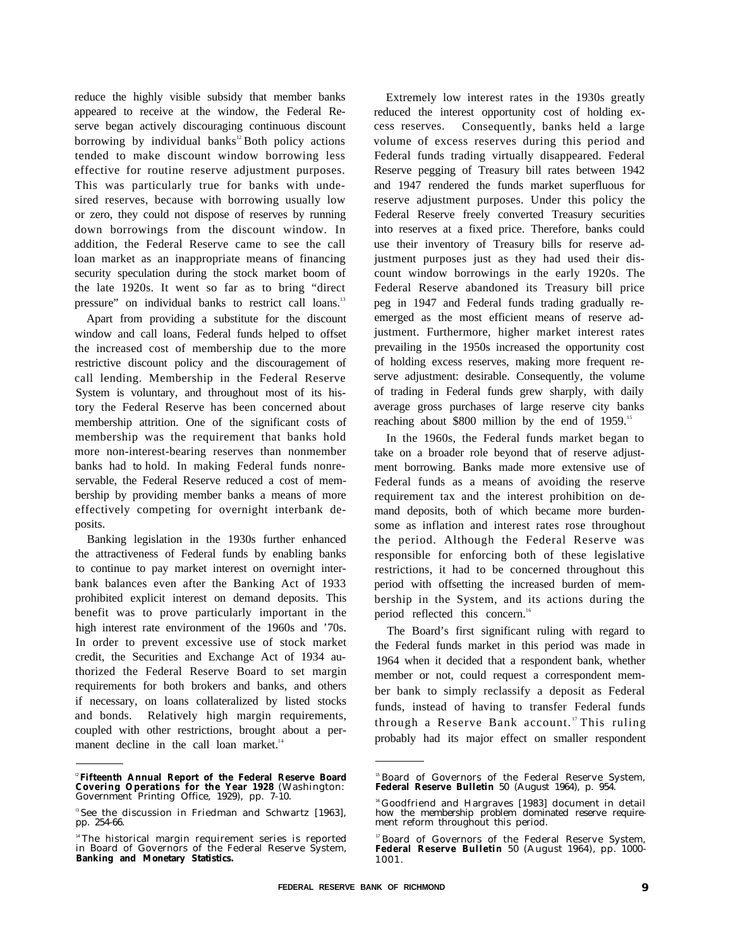reduce the highly visible subsidy that member banks appeared to receive at the window, the Federal Reserve began actively discouraging continuous discount borrowing by individual banks<sup>12</sup> Both policy actions tended to make discount window borrowing less effective for routine reserve adjustment purposes. This was particularly true for banks with undesired reserves, because with borrowing usually low or zero, they could not dispose of reserves by running down borrowings from the discount window. In addition, the Federal Reserve came to see the call loan market as an inappropriate means of financing security speculation during the stock market boom of the late 1920s. It went so far as to bring "direct pressure" on individual banks to restrict call loans.<sup>13</sup>

Apart from providing a substitute for the discount window and call loans, Federal funds helped to offset the increased cost of membership due to the more restrictive discount policy and the discouragement of call lending. Membership in the Federal Reserve System is voluntary, and throughout most of its history the Federal Reserve has been concerned about membership attrition. One of the significant costs of membership was the requirement that banks hold more non-interest-bearing reserves than nonmember banks had to hold. In making Federal funds nonreservable, the Federal Reserve reduced a cost of membership by providing member banks a means of more effectively competing for overnight interbank deposits.

Banking legislation in the 1930s further enhanced the attractiveness of Federal funds by enabling banks to continue to pay market interest on overnight interbank balances even after the Banking Act of 1933 prohibited explicit interest on demand deposits. This benefit was to prove particularly important in the high interest rate environment of the 1960s and '70s. In order to prevent excessive use of stock market credit, the Securities and Exchange Act of 1934 authorized the Federal Reserve Board to set margin requirements for both brokers and banks, and others if necessary, on loans collateralized by listed stocks and bonds. Relatively high margin requirements, coupled with other restrictions, brought about a permanent decline in the call loan market.<sup>14</sup>

Extremely low interest rates in the 1930s greatly reduced the interest opportunity cost of holding excess reserves. Consequently, banks held a large volume of excess reserves during this period and Federal funds trading virtually disappeared. Federal Reserve pegging of Treasury bill rates between 1942 and 1947 rendered the funds market superfluous for reserve adjustment purposes. Under this policy the Federal Reserve freely converted Treasury securities into reserves at a fixed price. Therefore, banks could use their inventory of Treasury bills for reserve adjustment purposes just as they had used their discount window borrowings in the early 1920s. The Federal Reserve abandoned its Treasury bill price peg in 1947 and Federal funds trading gradually reemerged as the most efficient means of reserve adjustment. Furthermore, higher market interest rates prevailing in the 1950s increased the opportunity cost of holding excess reserves, making more frequent reserve adjustment: desirable. Consequently, the volume of trading in Federal funds grew sharply, with daily average gross purchases of large reserve city banks reaching about \$800 million by the end of 1959.<sup>15</sup>

In the 1960s, the Federal funds market began to take on a broader role beyond that of reserve adjustment borrowing. Banks made more extensive use of Federal funds as a means of avoiding the reserve requirement tax and the interest prohibition on demand deposits, both of which became more burdensome as inflation and interest rates rose throughout the period. Although the Federal Reserve was responsible for enforcing both of these legislative restrictions, it had to be concerned throughout this period with offsetting the increased burden of membership in the System, and its actions during the period reflected this concern.<sup>16</sup>

The Board's first significant ruling with regard to the Federal funds market in this period was made in 1964 when it decided that a respondent bank, whether member or not, could request a correspondent member bank to simply reclassify a deposit as Federal funds, instead of having to transfer Federal funds through a Reserve Bank account.<sup>17</sup> This ruling probably had its major effect on smaller respondent

l2 **Fifteenth Annual Report of the Federal Reserve Board Covering Operations for the Year 1928** (Washington: Government Printing Office, 1929), pp. 7-10.

<sup>&</sup>lt;sup>13</sup> See the discussion in Friedman and Schwartz [1963], pp. 254-66.

<sup>14</sup>The historical margin requirement series is reported in Board of Governors of the Federal Reserve System, **Banking and Monetary Statistics.**

<sup>&</sup>lt;sup>15</sup> Board of Governors of the Federal Reserve System, **Federal Reserve Bulletin** 50 (August 1964), p. 954.

<sup>16</sup>Goodfriend and Hargraves [1983] document in detail how the membership problem dominated reserve requirement reform throughout this period.

<sup>17</sup>Board of Governors of the Federal Reserve System, **Federal Reserve Bulletin** 50 (August 1964), pp. 1000- 1001 .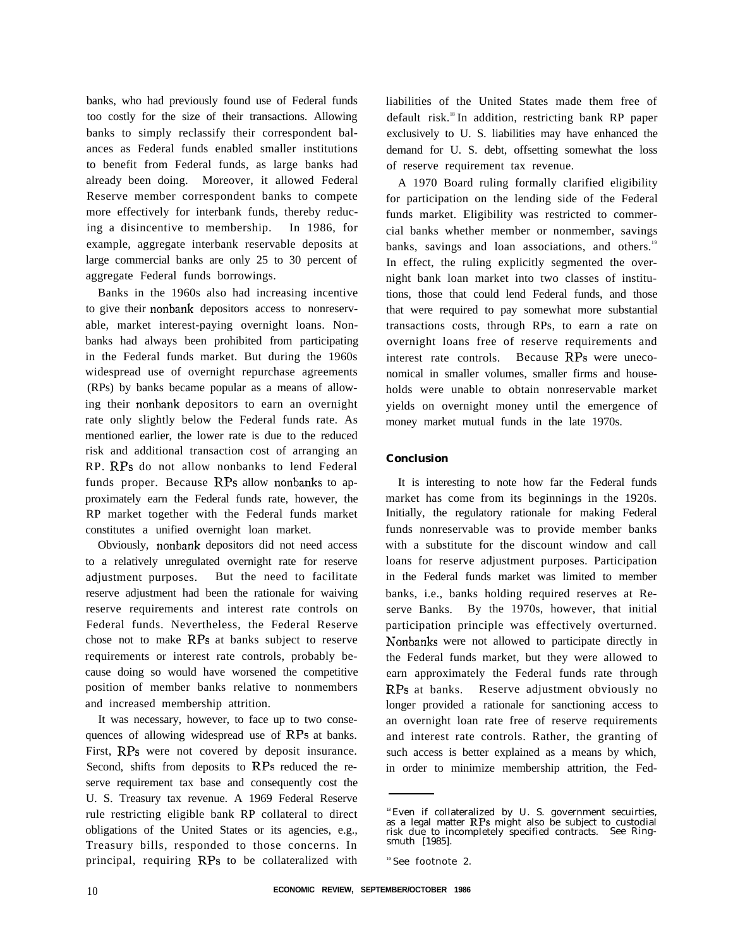banks, who had previously found use of Federal funds too costly for the size of their transactions. Allowing banks to simply reclassify their correspondent balances as Federal funds enabled smaller institutions to benefit from Federal funds, as large banks had already been doing. Moreover, it allowed Federal Reserve member correspondent banks to compete more effectively for interbank funds, thereby reducing a disincentive to membership. In 1986, for example, aggregate interbank reservable deposits at large commercial banks are only 25 to 30 percent of aggregate Federal funds borrowings.

Banks in the 1960s also had increasing incentive to give their nonbank depositors access to nonreservable, market interest-paying overnight loans. Nonbanks had always been prohibited from participating in the Federal funds market. But during the 1960s widespread use of overnight repurchase agreements (RPs) by banks became popular as a means of allowing their nonbank depositors to earn an overnight rate only slightly below the Federal funds rate. As mentioned earlier, the lower rate is due to the reduced risk and additional transaction cost of arranging an RP. RPs do not allow nonbanks to lend Federal funds proper. Because RPs allow nonbanks to approximately earn the Federal funds rate, however, the RP market together with the Federal funds market constitutes a unified overnight loan market.

Obviously, nonbank depositors did not need access to a relatively unregulated overnight rate for reserve adjustment purposes. But the need to facilitate reserve adjustment had been the rationale for waiving reserve requirements and interest rate controls on Federal funds. Nevertheless, the Federal Reserve chose not to make RPs at banks subject to reserve requirements or interest rate controls, probably because doing so would have worsened the competitive position of member banks relative to nonmembers and increased membership attrition.

It was necessary, however, to face up to two consequences of allowing widespread use of RPs at banks. First, RPs were not covered by deposit insurance. Second, shifts from deposits to RPs reduced the reserve requirement tax base and consequently cost the U. S. Treasury tax revenue. A 1969 Federal Reserve rule restricting eligible bank RP collateral to direct obligations of the United States or its agencies, e.g., Treasury bills, responded to those concerns. In principal, requiring RPs to be collateralized with

liabilities of the United States made them free of default risk.<sup>18</sup>In addition, restricting bank RP paper exclusively to U. S. liabilities may have enhanced the demand for U. S. debt, offsetting somewhat the loss of reserve requirement tax revenue.

A 1970 Board ruling formally clarified eligibility for participation on the lending side of the Federal funds market. Eligibility was restricted to commercial banks whether member or nonmember, savings banks, savings and loan associations, and others.<sup>19</sup> In effect, the ruling explicitly segmented the overnight bank loan market into two classes of institutions, those that could lend Federal funds, and those that were required to pay somewhat more substantial transactions costs, through RPs, to earn a rate on overnight loans free of reserve requirements and interest rate controls. Because RPs were uneconomical in smaller volumes, smaller firms and households were unable to obtain nonreservable market yields on overnight money until the emergence of money market mutual funds in the late 1970s.

# **Conclusion**

It is interesting to note how far the Federal funds market has come from its beginnings in the 1920s. Initially, the regulatory rationale for making Federal funds nonreservable was to provide member banks with a substitute for the discount window and call loans for reserve adjustment purposes. Participation in the Federal funds market was limited to member banks, i.e., banks holding required reserves at Reserve Banks. By the 1970s, however, that initial participation principle was effectively overturned. Nonbanks were not allowed to participate directly in the Federal funds market, but they were allowed to earn approximately the Federal funds rate through RPs at banks. Reserve adjustment obviously no longer provided a rationale for sanctioning access to an overnight loan rate free of reserve requirements and interest rate controls. Rather, the granting of such access is better explained as a means by which, in order to minimize membership attrition, the Fed-

<sup>18</sup>Even if collateralized by U. S. government secuirties, as a legal matter RPs might also be subject to custodial risk due to incompletely specified contracts. See Ringsmuth [1985].

<sup>19</sup>See footnote 2.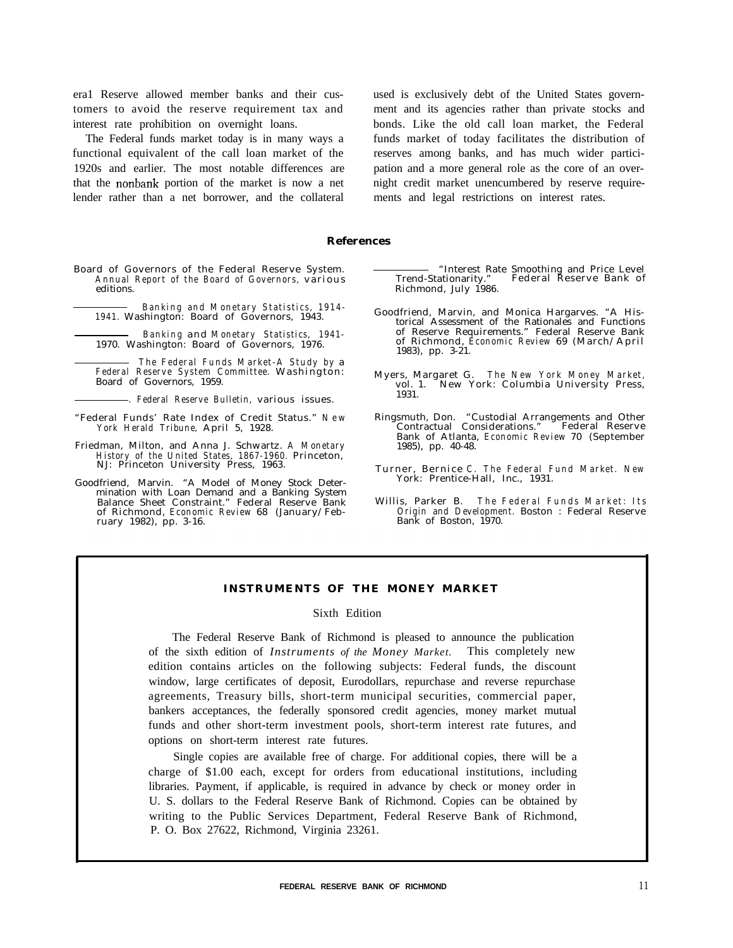era1 Reserve allowed member banks and their customers to avoid the reserve requirement tax and interest rate prohibition on overnight loans.

The Federal funds market today is in many ways a functional equivalent of the call loan market of the 1920s and earlier. The most notable differences are that the nonbank portion of the market is now a net lender rather than a net borrower, and the collateral

used is exclusively debt of the United States government and its agencies rather than private stocks and bonds. Like the old call loan market, the Federal funds market of today facilitates the distribution of reserves among banks, and has much wider participation and a more general role as the core of an overnight credit market unencumbered by reserve requirements and legal restrictions on interest rates.

#### **References**

- Board of Governors of the Federal Reserve System. *Annual Report of the Board of Governors,* variou s editions.
	- *Banking and Monetary Statistics, 1914- 1941.* Washington: Board of Governors, 1943.
	- *Banking* and *Monetary Statistics, 1941-* 1970. Washington: Board of Governors, 1976.

*The Federal Funds Market-A Study by* a *Federal Reserve System Committee.* Washington : Board of Governors, 1959.

*. Federal Reserve Bulletin,* various issues.

- "Federal Funds' Rate Index of Credit Status." *N e w York Herald Tribune,* April 5, 1928.
- Friedman, Milton, and Anna J. Schwartz. *A Monetary History of the United States, 1867-1960.* Princeton, NJ: Princeton University Press, 1963.
- Goodfriend, Marvin. "A Model of Money Stock Determination with Loan Demand and a Banking System Balance Sheet Constraint." Federal Reserve Bank of Richmond, *Economic Review* 68 (January/February 1982), pp. 3-16.
- Trend-Stationarity." Federal Reserve Bank of Trend-Stationarity." Federal Reserve Bank of Richmond, July 1986.
- Goodfriend, Marvin, and Monica Hargarves. "A His-torical Assessment of the Rationales and Functions of Reserve Requirements." Federal Reserve Bank of Richmond, *Economic Review* 69 (March/April 1983), pp. 3-21.
- Myers, Margaret G. *The New York Money Market,* vol. 1. New York: Columbia University Press, 1931.
- Ringsmuth, Don. "Custodial Arrangements and Other Contractual Considerations." Federal Reserve Bank of Atlanta, *Economic Review* 70 (September 1985), pp. 40-48.
- Turner, Bernice *C. The Federal Fund Market. New* York: Prentice-Hall, Inc., 1931.
- Willis, Parker B. *The Federal Funds Market: Its Origin and Development.* Boston : Federal Reserve Bank of Boston, 1970.

#### **INSTRUMENTS OF THE MONEY MARKET**

#### Sixth Edition

The Federal Reserve Bank of Richmond is pleased to announce the publication of the sixth edition of *Instruments of the Money Market.* This completely new edition contains articles on the following subjects: Federal funds, the discount window, large certificates of deposit, Eurodollars, repurchase and reverse repurchase agreements, Treasury bills, short-term municipal securities, commercial paper, bankers acceptances, the federally sponsored credit agencies, money market mutual funds and other short-term investment pools, short-term interest rate futures, and options on short-term interest rate futures.

Single copies are available free of charge. For additional copies, there will be a charge of \$1.00 each, except for orders from educational institutions, including libraries. Payment, if applicable, is required in advance by check or money order in U. S. dollars to the Federal Reserve Bank of Richmond. Copies can be obtained by writing to the Public Services Department, Federal Reserve Bank of Richmond, P. O. Box 27622, Richmond, Virginia 23261.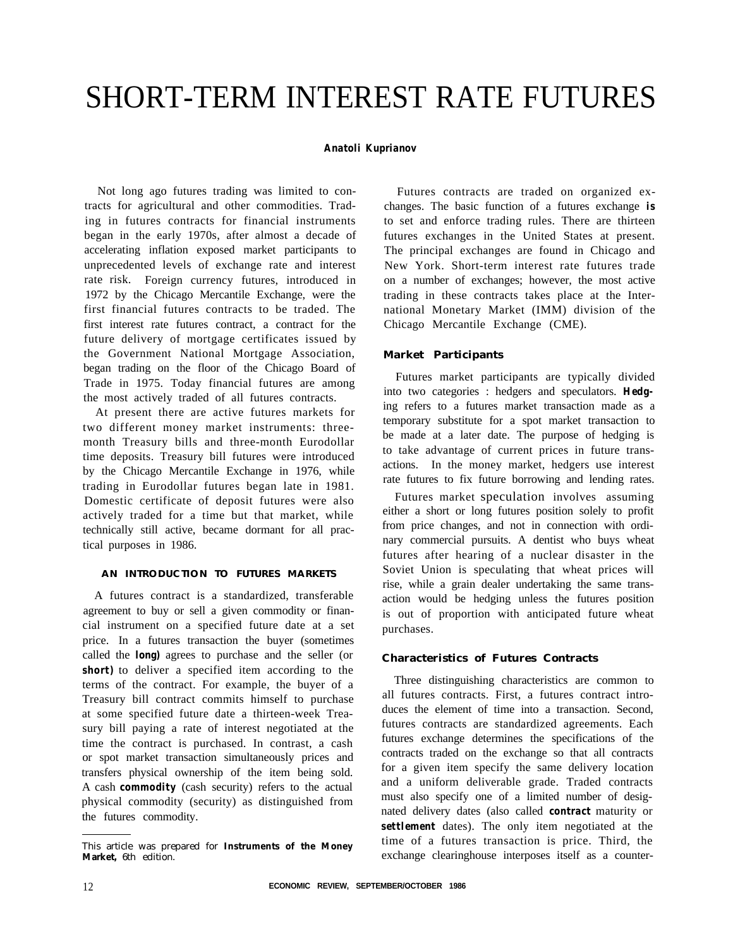# SHORT-TERM INTEREST RATE FUTURES

#### *Anatoli Kuprianov*

Not long ago futures trading was limited to contracts for agricultural and other commodities. Trading in futures contracts for financial instruments began in the early 1970s, after almost a decade of accelerating inflation exposed market participants to unprecedented levels of exchange rate and interest rate risk. Foreign currency futures, introduced in 1972 by the Chicago Mercantile Exchange, were the first financial futures contracts to be traded. The first interest rate futures contract, a contract for the future delivery of mortgage certificates issued by the Government National Mortgage Association, began trading on the floor of the Chicago Board of Trade in 1975. Today financial futures are among the most actively traded of all futures contracts.

At present there are active futures markets for two different money market instruments: threemonth Treasury bills and three-month Eurodollar time deposits. Treasury bill futures were introduced by the Chicago Mercantile Exchange in 1976, while trading in Eurodollar futures began late in 1981. Domestic certificate of deposit futures were also actively traded for a time but that market, while technically still active, became dormant for all practical purposes in 1986.

#### **AN INTRODUCTION TO FUTURES MARKETS**

A futures contract is a standardized, transferable agreement to buy or sell a given commodity or financial instrument on a specified future date at a set price. In a futures transaction the buyer (sometimes called the *long)* agrees to purchase and the seller (or *short*) to deliver a specified item according to the terms of the contract. For example, the buyer of a Treasury bill contract commits himself to purchase at some specified future date a thirteen-week Treasury bill paying a rate of interest negotiated at the time the contract is purchased. In contrast, a cash or spot market transaction simultaneously prices and transfers physical ownership of the item being sold. A cash *commodity* (cash security) refers to the actual physical commodity (security) as distinguished from the futures commodity.

Futures contracts are traded on organized exchanges. The basic function of a futures exchange *is* to set and enforce trading rules. There are thirteen futures exchanges in the United States at present. The principal exchanges are found in Chicago and New York. Short-term interest rate futures trade on a number of exchanges; however, the most active trading in these contracts takes place at the International Monetary Market (IMM) division of the Chicago Mercantile Exchange (CME).

# **Market Participants**

Futures market participants are typically divided into two categories : hedgers and speculators. *Hedg*ing refers to a futures market transaction made as a temporary substitute for a spot market transaction to be made at a later date. The purpose of hedging is to take advantage of current prices in future transactions. In the money market, hedgers use interest rate futures to fix future borrowing and lending rates.

Futures market speculation involves assuming either a short or long futures position solely to profit from price changes, and not in connection with ordinary commercial pursuits. A dentist who buys wheat futures after hearing of a nuclear disaster in the Soviet Union is speculating that wheat prices will rise, while a grain dealer undertaking the same transaction would be hedging unless the futures position is out of proportion with anticipated future wheat purchases.

# **Characteristics of Futures Contracts**

Three distinguishing characteristics are common to all futures contracts. First, a futures contract introduces the element of time into a transaction. Second, futures contracts are standardized agreements. Each futures exchange determines the specifications of the contracts traded on the exchange so that all contracts for a given item specify the same delivery location and a uniform deliverable grade. Traded contracts must also specify one of a limited number of designated delivery dates (also called *contract* maturity or *settlement* dates). The only item negotiated at the time of a futures transaction is price. Third, the exchange clearinghouse interposes itself as a counter-

This article was prepared for **Instruments of the Money Market,** 6th edition.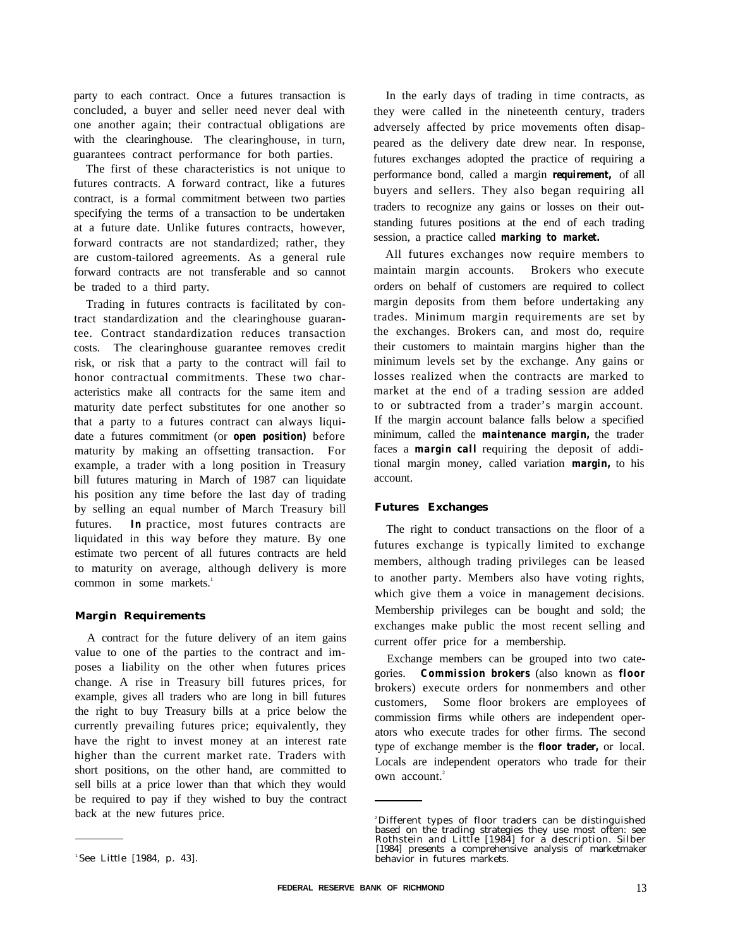party to each contract. Once a futures transaction is concluded, a buyer and seller need never deal with one another again; their contractual obligations are with the clearinghouse. The clearinghouse, in turn, guarantees contract performance for both parties.

The first of these characteristics is not unique to futures contracts. A forward contract, like a futures contract, is a formal commitment between two parties specifying the terms of a transaction to be undertaken at a future date. Unlike futures contracts, however, forward contracts are not standardized; rather, they are custom-tailored agreements. As a general rule forward contracts are not transferable and so cannot be traded to a third party.

Trading in futures contracts is facilitated by contract standardization and the clearinghouse guarantee. Contract standardization reduces transaction costs. The clearinghouse guarantee removes credit risk, or risk that a party to the contract will fail to honor contractual commitments. These two characteristics make all contracts for the same item and maturity date perfect substitutes for one another so that a party to a futures contract can always liquidate a futures commitment (or *open position)* before maturity by making an offsetting transaction. For example, a trader with a long position in Treasury bill futures maturing in March of 1987 can liquidate his position any time before the last day of trading by selling an equal number of March Treasury bill futures. *In* practice, most futures contracts are liquidated in this way before they mature. By one estimate two percent of all futures contracts are held to maturity on average, although delivery is more common in some markets.<sup>1</sup>

#### **Margin Requirements**

A contract for the future delivery of an item gains value to one of the parties to the contract and imposes a liability on the other when futures prices change. A rise in Treasury bill futures prices, for example, gives all traders who are long in bill futures the right to buy Treasury bills at a price below the currently prevailing futures price; equivalently, they have the right to invest money at an interest rate higher than the current market rate. Traders with short positions, on the other hand, are committed to sell bills at a price lower than that which they would be required to pay if they wished to buy the contract back at the new futures price.

In the early days of trading in time contracts, as they were called in the nineteenth century, traders adversely affected by price movements often disappeared as the delivery date drew near. In response, futures exchanges adopted the practice of requiring a performance bond, called a margin *requirement,* of all buyers and sellers. They also began requiring all traders to recognize any gains or losses on their outstanding futures positions at the end of each trading session, a practice called *marking to market.*

All futures exchanges now require members to maintain margin accounts. Brokers who execute orders on behalf of customers are required to collect margin deposits from them before undertaking any trades. Minimum margin requirements are set by the exchanges. Brokers can, and most do, require their customers to maintain margins higher than the minimum levels set by the exchange. Any gains or losses realized when the contracts are marked to market at the end of a trading session are added to or subtracted from a trader's margin account. If the margin account balance falls below a specified minimum, called the *maintenance margin,* the trader faces a *margin call* requiring the deposit of additional margin money, called variation *margin,* to his account.

# **Futures Exchanges**

The right to conduct transactions on the floor of a futures exchange is typically limited to exchange members, although trading privileges can be leased to another party. Members also have voting rights, which give them a voice in management decisions. Membership privileges can be bought and sold; the exchanges make public the most recent selling and current offer price for a membership.

Exchange members can be grouped into two categories. *Commission brokers* (also known as *floor* brokers) execute orders for nonmembers and other customers, Some floor brokers are employees of commission firms while others are independent operators who execute trades for other firms. The second type of exchange member is the *floor trader,* or local. Locals are independent operators who trade for their own account.<sup>2</sup>

<sup>2</sup>Different types of floor traders can be distinguished based on the trading strategies they use most often: see Rothstein and Little [1984] for a description. Silber [1984] presents a comprehensive analysis of marketmaker behavior in futures markets.

<sup>&</sup>lt;sup>1</sup>See Little [1984, p. 43].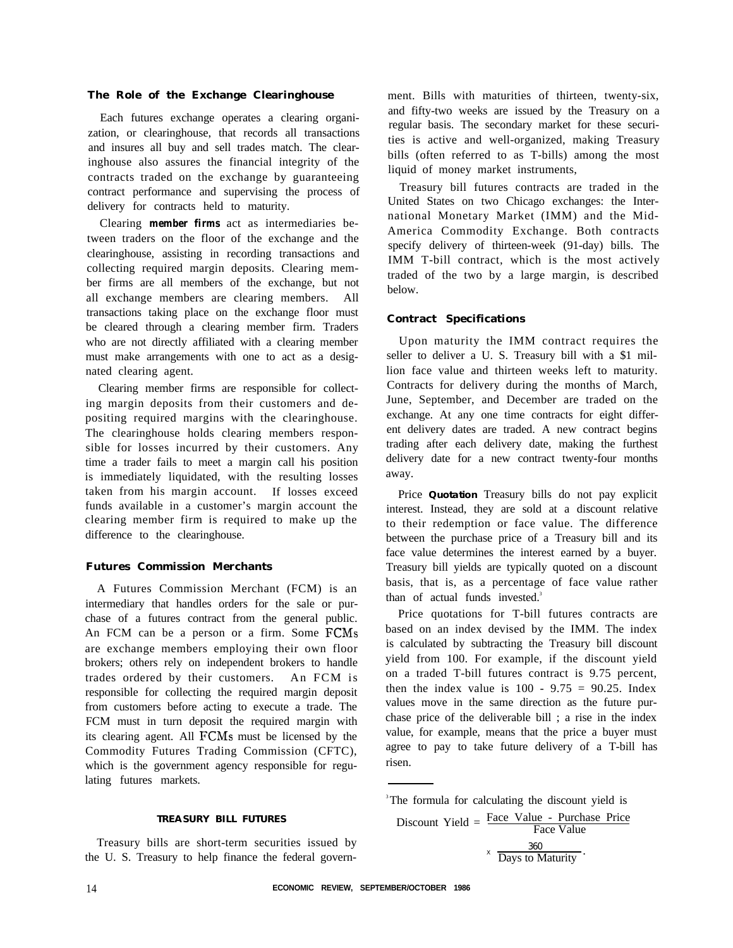#### **The Role of the Exchange Clearinghouse**

Each futures exchange operates a clearing organization, or clearinghouse, that records all transactions and insures all buy and sell trades match. The clearinghouse also assures the financial integrity of the contracts traded on the exchange by guaranteeing contract performance and supervising the process of delivery for contracts held to maturity.

Clearing *member firms* act as intermediaries between traders on the floor of the exchange and the clearinghouse, assisting in recording transactions and collecting required margin deposits. Clearing member firms are all members of the exchange, but not all exchange members are clearing members. All transactions taking place on the exchange floor must be cleared through a clearing member firm. Traders who are not directly affiliated with a clearing member must make arrangements with one to act as a designated clearing agent.

Clearing member firms are responsible for collecting margin deposits from their customers and depositing required margins with the clearinghouse. The clearinghouse holds clearing members responsible for losses incurred by their customers. Any time a trader fails to meet a margin call his position is immediately liquidated, with the resulting losses taken from his margin account. If losses exceed funds available in a customer's margin account the clearing member firm is required to make up the difference to the clearinghouse.

#### **Futures Commission Merchants**

A Futures Commission Merchant (FCM) is an intermediary that handles orders for the sale or purchase of a futures contract from the general public. An FCM can be a person or a firm. Some FCMs are exchange members employing their own floor brokers; others rely on independent brokers to handle trades ordered by their customers. An FCM is responsible for collecting the required margin deposit from customers before acting to execute a trade. The FCM must in turn deposit the required margin with its clearing agent. All FCMs must be licensed by the Commodity Futures Trading Commission (CFTC), which is the government agency responsible for regulating futures markets.

#### **TREASURY BILL FUTURES**

Treasury bills are short-term securities issued by the U. S. Treasury to help finance the federal government. Bills with maturities of thirteen, twenty-six, and fifty-two weeks are issued by the Treasury on a regular basis. The secondary market for these securities is active and well-organized, making Treasury bills (often referred to as T-bills) among the most liquid of money market instruments,

Treasury bill futures contracts are traded in the United States on two Chicago exchanges: the International Monetary Market (IMM) and the Mid-America Commodity Exchange. Both contracts specify delivery of thirteen-week (91-day) bills. The IMM T-bill contract, which is the most actively traded of the two by a large margin, is described below.

#### **Contract Specifications**

Upon maturity the IMM contract requires the seller to deliver a U. S. Treasury bill with a \$1 million face value and thirteen weeks left to maturity. Contracts for delivery during the months of March, June, September, and December are traded on the exchange. At any one time contracts for eight different delivery dates are traded. A new contract begins trading after each delivery date, making the furthest delivery date for a new contract twenty-four months away.

Price **Quotation** Treasury bills do not pay explicit interest. Instead, they are sold at a discount relative to their redemption or face value. The difference between the purchase price of a Treasury bill and its face value determines the interest earned by a buyer. Treasury bill yields are typically quoted on a discount basis, that is, as a percentage of face value rather than of actual funds invested. $3$ 

Price quotations for T-bill futures contracts are based on an index devised by the IMM. The index is calculated by subtracting the Treasury bill discount yield from 100. For example, if the discount yield on a traded T-bill futures contract is 9.75 percent, then the index value is  $100 - 9.75 = 90.25$ . Index values move in the same direction as the future purchase price of the deliverable bill ; a rise in the index value, for example, means that the price a buyer must agree to pay to take future delivery of a T-bill has risen.

<sup>3</sup>The formula for calculating the discount yield is Discount Yield = Face Value - Purchase Price Face Value  $\times$   $\frac{360}{\text{Days to Maturity}}$ . 360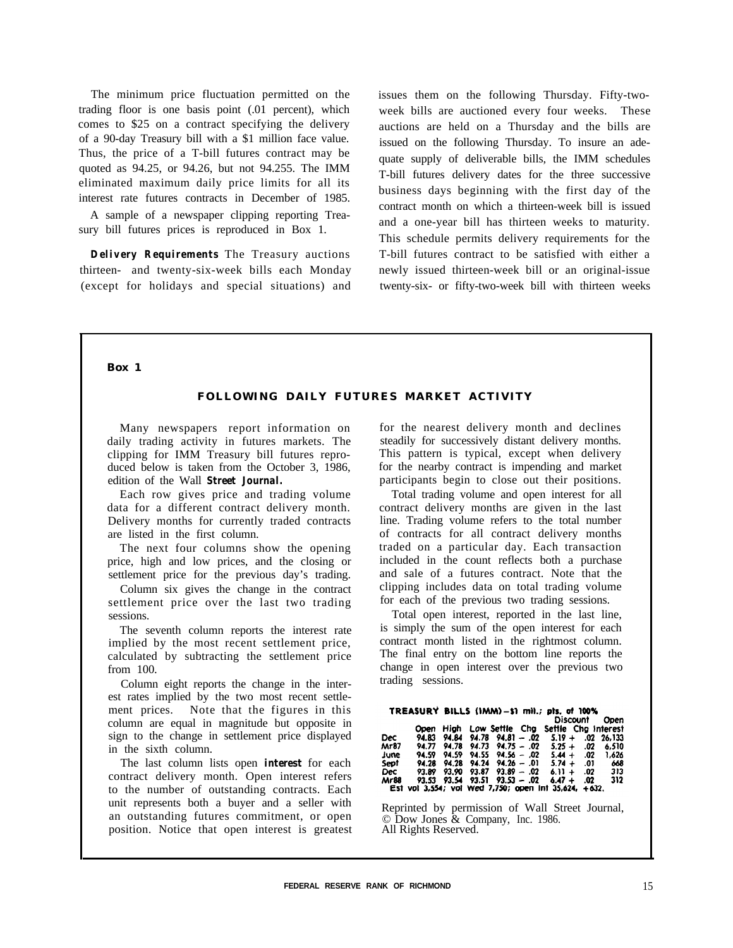The minimum price fluctuation permitted on the trading floor is one basis point (.01 percent), which comes to \$25 on a contract specifying the delivery of a 90-day Treasury bill with a \$1 million face value. Thus, the price of a T-bill futures contract may be quoted as 94.25, or 94.26, but not 94.255. The IMM eliminated maximum daily price limits for all its interest rate futures contracts in December of 1985.

A sample of a newspaper clipping reporting Treasury bill futures prices is reproduced in Box 1.

*Delivery Requirements* The Treasury auctions thirteen- and twenty-six-week bills each Monday (except for holidays and special situations) and issues them on the following Thursday. Fifty-twoweek bills are auctioned every four weeks. These auctions are held on a Thursday and the bills are issued on the following Thursday. To insure an adequate supply of deliverable bills, the IMM schedules T-bill futures delivery dates for the three successive business days beginning with the first day of the contract month on which a thirteen-week bill is issued and a one-year bill has thirteen weeks to maturity. This schedule permits delivery requirements for the T-bill futures contract to be satisfied with either a newly issued thirteen-week bill or an original-issue twenty-six- or fifty-two-week bill with thirteen weeks

# **Box 1**

# **FOLLOWING DAILY FUTURES MARKET ACTIVITY**

Many newspapers report information on daily trading activity in futures markets. The clipping for IMM Treasury bill futures reproduced below is taken from the October 3, 1986, edition of the Wall *Street Journal.*

Each row gives price and trading volume data for a different contract delivery month. Delivery months for currently traded contracts are listed in the first column.

The next four columns show the opening price, high and low prices, and the closing or settlement price for the previous day's trading.

Column six gives the change in the contract settlement price over the last two trading sessions.

The seventh column reports the interest rate implied by the most recent settlement price, calculated by subtracting the settlement price from 100.

Column eight reports the change in the interest rates implied by the two most recent settlement prices. Note that the figures in this column are equal in magnitude but opposite in sign to the change in settlement price displayed in the sixth column.

The last column lists open *interest* for each contract delivery month. Open interest refers to the number of outstanding contracts. Each unit represents both a buyer and a seller with an outstanding futures commitment, or open position. Notice that open interest is greatest for the nearest delivery month and declines steadily for successively distant delivery months. This pattern is typical, except when delivery for the nearby contract is impending and market participants begin to close out their positions.

Total trading volume and open interest for all contract delivery months are given in the last line. Trading volume refers to the total number of contracts for all contract delivery months traded on a particular day. Each transaction included in the count reflects both a purchase and sale of a futures contract. Note that the clipping includes data on total trading volume for each of the previous two trading sessions.

Total open interest, reported in the last line, is simply the sum of the open interest for each contract month listed in the rightmost column. The final entry on the bottom line reports the change in open interest over the previous two trading sessions.

|       |        |       |       |            |               | TREASURY BILLS (IMM)-\$1 mil.; pts. of 100%      |     |            |
|-------|--------|-------|-------|------------|---------------|--------------------------------------------------|-----|------------|
|       |        |       |       |            |               | <b>Discount</b>                                  |     | Open       |
|       | Open   | Hiah  |       | Low Settle | Cho           | Settle Cha Interest                              |     |            |
| Dec.  | 94.83  | 94.84 | 94.78 |            | $94.81 - .02$ | $5.19 +$                                         |     | .02 26,133 |
| Mr87  | 94. TT | 94.78 | 94.73 |            | $94.75 - .02$ | $5.25 +$                                         | .02 | 6.510      |
| June  | 94.59  | 94.59 | 94.55 |            | $94.56 - .02$ | $5.44 +$                                         | .02 | 1.626      |
| Sept  | 94.28  | 94.28 | 94.24 |            | $94.26 - .01$ | $5.74 +$                                         | .01 | 668        |
| Dec . | 93.89  | 93.90 | 93.87 |            | $93.89-.02$   | $6.11 +$                                         | .02 | 313        |
| Mr88  | 93.53  | 93.54 | 93.51 |            | $93.53 - .02$ | $6.47 +$                                         | .02 | 312        |
| Est   |        |       |       |            |               | vol 3,554; vol Wed 7,750; open int 35,624, +632. |     |            |

Reprinted by permission of Wall Street Journal, © Dow Jones & Company, Inc. 1986. All Rights Reserved.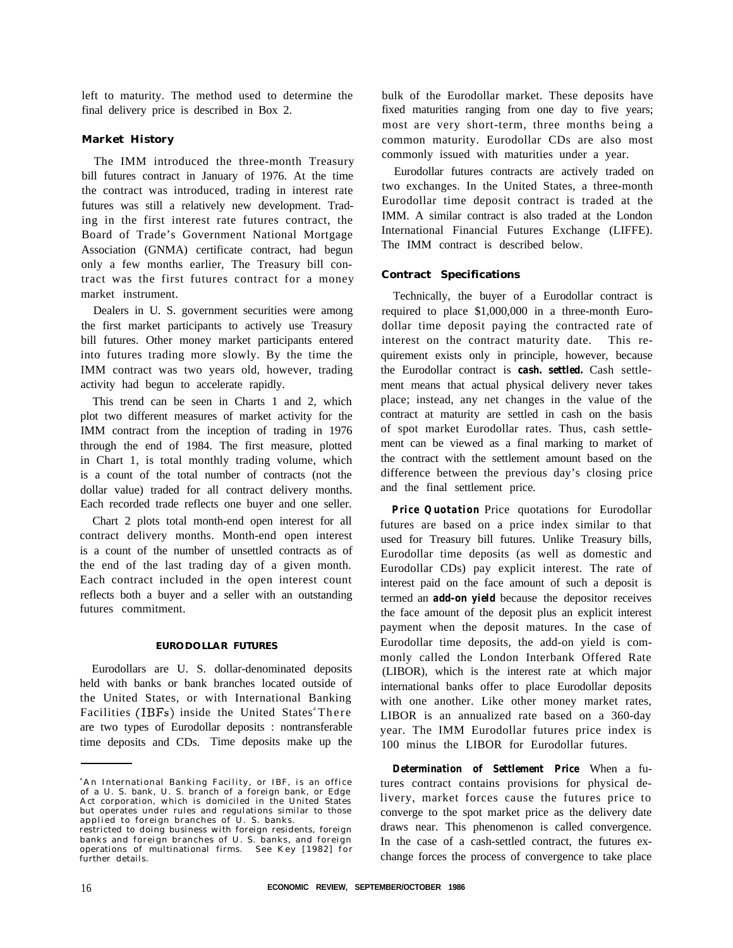left to maturity. The method used to determine the final delivery price is described in Box 2.

# **Market History**

The IMM introduced the three-month Treasury bill futures contract in January of 1976. At the time the contract was introduced, trading in interest rate futures was still a relatively new development. Trading in the first interest rate futures contract, the Board of Trade's Government National Mortgage Association (GNMA) certificate contract, had begun only a few months earlier, The Treasury bill contract was the first futures contract for a money market instrument.

Dealers in U. S. government securities were among the first market participants to actively use Treasury bill futures. Other money market participants entered into futures trading more slowly. By the time the IMM contract was two years old, however, trading activity had begun to accelerate rapidly.

This trend can be seen in Charts 1 and 2, which plot two different measures of market activity for the IMM contract from the inception of trading in 1976 through the end of 1984. The first measure, plotted in Chart 1, is total monthly trading volume, which is a count of the total number of contracts (not the dollar value) traded for all contract delivery months. Each recorded trade reflects one buyer and one seller.

Chart 2 plots total month-end open interest for all contract delivery months. Month-end open interest is a count of the number of unsettled contracts as of the end of the last trading day of a given month. Each contract included in the open interest count reflects both a buyer and a seller with an outstanding futures commitment.

# **EURODOLLAR FUTURES**

Eurodollars are U. S. dollar-denominated deposits held with banks or bank branches located outside of the United States, or with International Banking Facilities (IBFs) inside the United States<sup> $4$ </sup>There are two types of Eurodollar deposits : nontransferable time deposits and CDs. Time deposits make up the

bulk of the Eurodollar market. These deposits have fixed maturities ranging from one day to five years; most are very short-term, three months being a common maturity. Eurodollar CDs are also most commonly issued with maturities under a year.

Eurodollar futures contracts are actively traded on two exchanges. In the United States, a three-month Eurodollar time deposit contract is traded at the IMM. A similar contract is also traded at the London International Financial Futures Exchange (LIFFE). The IMM contract is described below.

#### **Contract Specifications**

Technically, the buyer of a Eurodollar contract is required to place \$1,000,000 in a three-month Eurodollar time deposit paying the contracted rate of interest on the contract maturity date. This requirement exists only in principle, however, because the Eurodollar contract is *cash. settled.* Cash settlement means that actual physical delivery never takes place; instead, any net changes in the value of the contract at maturity are settled in cash on the basis of spot market Eurodollar rates. Thus, cash settlement can be viewed as a final marking to market of the contract with the settlement amount based on the difference between the previous day's closing price and the final settlement price.

**Price Quotation** Price quotations for Eurodollar futures are based on a price index similar to that used for Treasury bill futures. Unlike Treasury bills, Eurodollar time deposits (as well as domestic and Eurodollar CDs) pay explicit interest. The rate of interest paid on the face amount of such a deposit is termed an *add-on yield* because the depositor receives the face amount of the deposit plus an explicit interest payment when the deposit matures. In the case of Eurodollar time deposits, the add-on yield is commonly called the London Interbank Offered Rate (LIBOR), which is the interest rate at which major international banks offer to place Eurodollar deposits with one another. Like other money market rates, LIBOR is an annualized rate based on a 360-day year. The IMM Eurodollar futures price index is 100 minus the LIBOR for Eurodollar futures.

*Determination of Settlement Price* When a futures contract contains provisions for physical delivery, market forces cause the futures price to converge to the spot market price as the delivery date draws near. This phenomenon is called convergence. In the case of a cash-settled contract, the futures exchange forces the process of convergence to take place

<sup>4</sup>An International Banking Facility, or IBF, is an office of a U. S. bank, U. S. branch of a foreign bank, or Edge Act corporation, which is domiciled in the United States but operates under rules and regulations similar to those applied to foreign branches of U. S. banks .

restricted to doing business with foreign residents, foreign banks and foreign branches of U. S. banks, and foreign<br>operations of multinational firms. See Key [1982] for further details.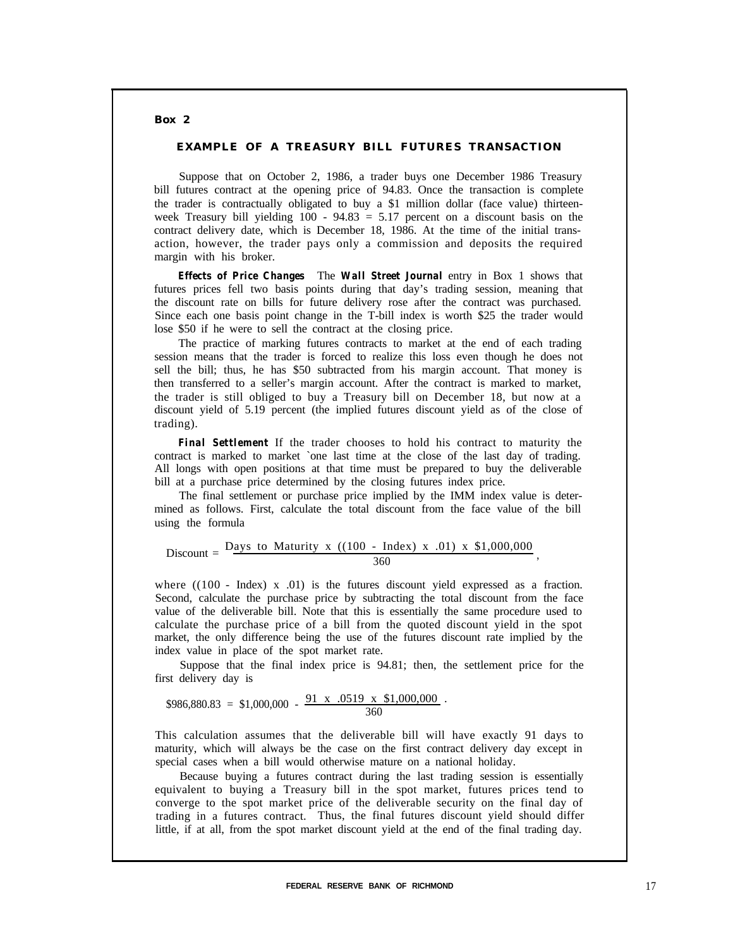#### **Box 2**

# **EXAMPLE OF A TREASURY BILL FUTURES TRANSACTION**

Suppose that on October 2, 1986, a trader buys one December 1986 Treasury bill futures contract at the opening price of 94.83. Once the transaction is complete the trader is contractually obligated to buy a \$1 million dollar (face value) thirteenweek Treasury bill yielding  $100 - 94.83 = 5.17$  percent on a discount basis on the contract delivery date, which is December 18, 1986. At the time of the initial transaction, however, the trader pays only a commission and deposits the required margin with his broker.

*Effects of Price Changes* The *Wall Street Journal* entry in Box 1 shows that futures prices fell two basis points during that day's trading session, meaning that the discount rate on bills for future delivery rose after the contract was purchased. Since each one basis point change in the T-bill index is worth \$25 the trader would lose \$50 if he were to sell the contract at the closing price.

The practice of marking futures contracts to market at the end of each trading session means that the trader is forced to realize this loss even though he does not sell the bill; thus, he has \$50 subtracted from his margin account. That money is then transferred to a seller's margin account. After the contract is marked to market, the trader is still obliged to buy a Treasury bill on December 18, but now at a discount yield of 5.19 percent (the implied futures discount yield as of the close of trading).

*Final Settlement* If the trader chooses to hold his contract to maturity the contract is marked to market `one last time at the close of the last day of trading. All longs with open positions at that time must be prepared to buy the deliverable bill at a purchase price determined by the closing futures index price.

The final settlement or purchase price implied by the IMM index value is determined as follows. First, calculate the total discount from the face value of the bill using the formula

$$
Discount = \frac{Days \text{ to Maturity x } ((100 - Index) x .01) x $1,000,000}{360},
$$

where  $((100 - Index) x .01)$  is the futures discount yield expressed as a fraction. Second, calculate the purchase price by subtracting the total discount from the face value of the deliverable bill. Note that this is essentially the same procedure used to calculate the purchase price of a bill from the quoted discount yield in the spot market, the only difference being the use of the futures discount rate implied by the index value in place of the spot market rate.

Suppose that the final index price is 94.81; then, the settlement price for the first delivery day is

$$
$986,880.83 = $1,000,000 - \frac{91 \times .0519 \times $1,000,000}{360}
$$
.

This calculation assumes that the deliverable bill will have exactly 91 days to maturity, which will always be the case on the first contract delivery day except in special cases when a bill would otherwise mature on a national holiday.

Because buying a futures contract during the last trading session is essentially equivalent to buying a Treasury bill in the spot market, futures prices tend to converge to the spot market price of the deliverable security on the final day of trading in a futures contract. Thus, the final futures discount yield should differ little, if at all, from the spot market discount yield at the end of the final trading day.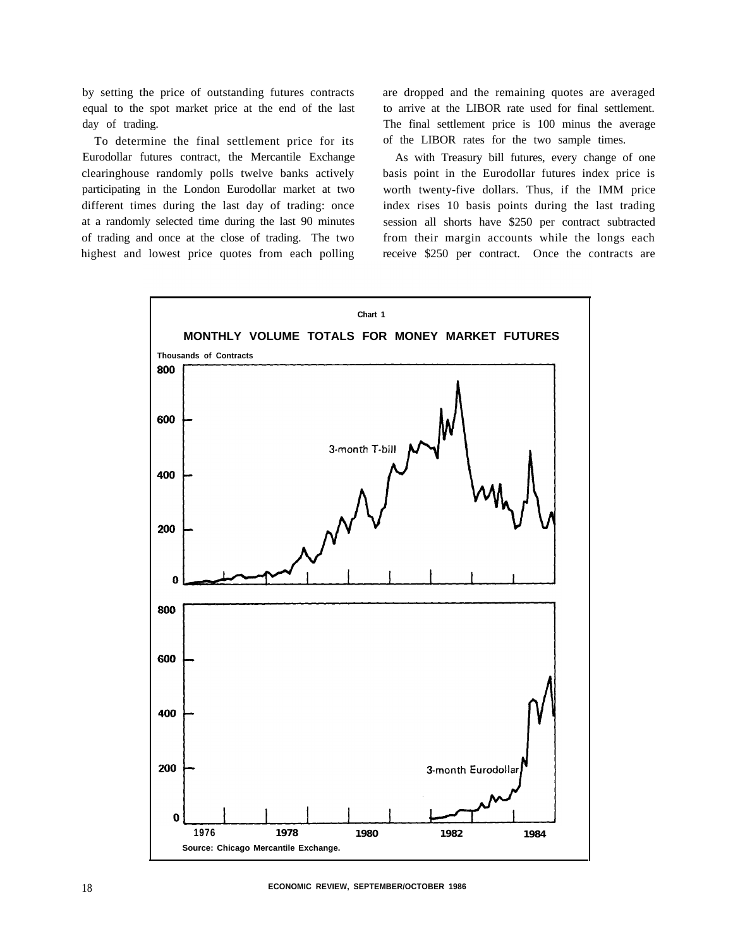by setting the price of outstanding futures contracts are dropped and the remaining quotes are averaged equal to the spot market price at the end of the last to arrive at the LIBOR rate used for final settlement. day of trading.

To determine the final settlement price for its Eurodollar futures contract, the Mercantile Exchange clearinghouse randomly polls twelve banks actively participating in the London Eurodollar market at two different times during the last day of trading: once at a randomly selected time during the last 90 minutes of trading and once at the close of trading. The two highest and lowest price quotes from each polling The final settlement price is 100 minus the average of the LIBOR rates for the two sample times.

As with Treasury bill futures, every change of one basis point in the Eurodollar futures index price is worth twenty-five dollars. Thus, if the IMM price index rises 10 basis points during the last trading session all shorts have \$250 per contract subtracted from their margin accounts while the longs each receive \$250 per contract. Once the contracts are

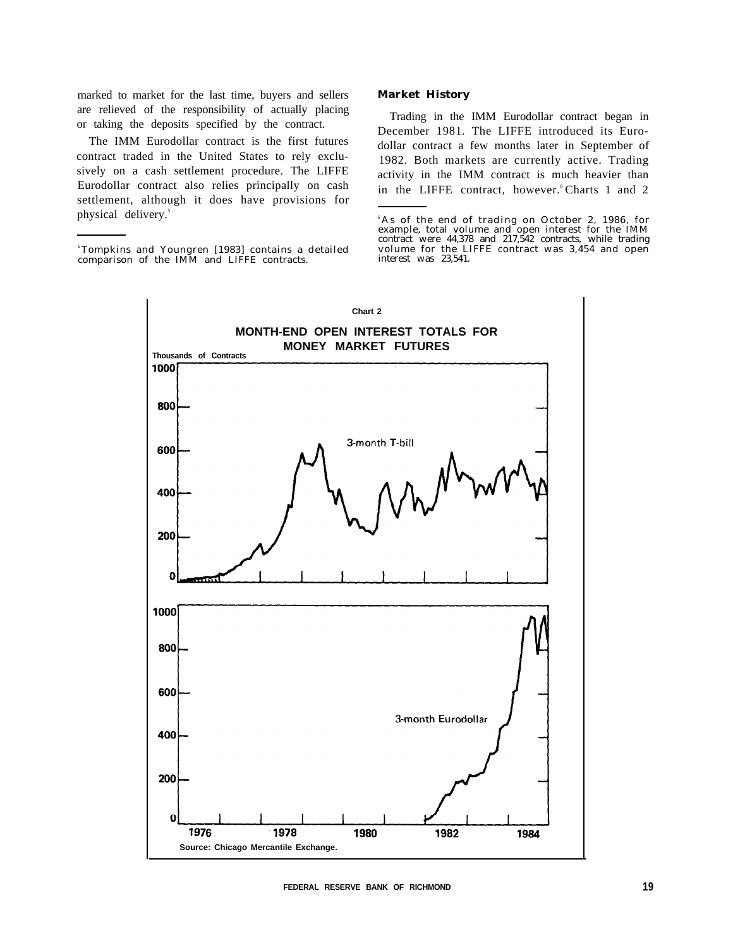marked to market for the last time, buyers and sellers **Market History** are relieved of the responsibility of actually placing or taking the deposits specified by the contract.

The IMM Eurodollar contract is the first futures contract traded in the United States to rely exclusively on a cash settlement procedure. The LIFFE Eurodollar contract also relies principally on cash settlement, although it does have provisions for physical delivery.<sup>5</sup>

 $^{\circ}$ Tompkins and Youngren [1983] contains a detailed comparison of the IMM and LIFFE contracts.

Trading in the IMM Eurodollar contract began in December 1981. The LIFFE introduced its Eurodollar contract a few months later in September of 1982. Both markets are currently active. Trading activity in the IMM contract is much heavier than in the LIFFE contract, however.<sup>6</sup>Charts 1 and 2

As of the end of trading on October 2, 1986, for example, total volume and open interest for the IMM contract were 44,378 and 217,542 contracts, while trading volume for the LIFFE contract was 3,454 and open interest was 23,541.

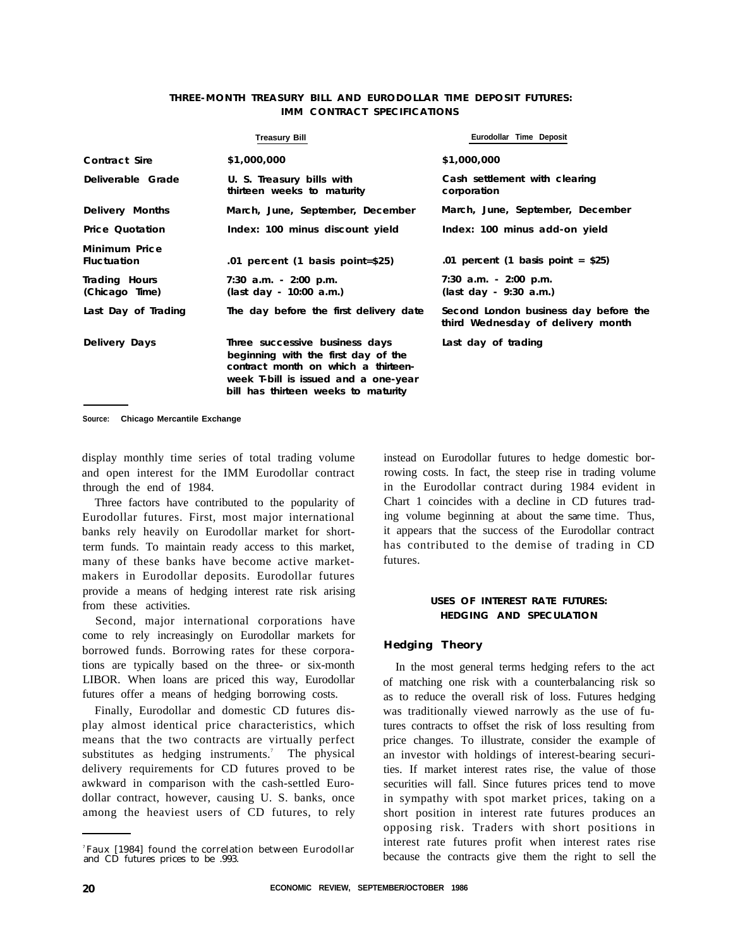# **THREE-MONTH TREASURY BILL AND EURODOLLAR TIME DEPOSIT FUTURES: IMM CONTRACT SPECIFICATIONS**

|                                        | <b>Treasury Bill</b>                                                                                                                                                                        | Eurodollar Time Deposit                                                    |
|----------------------------------------|---------------------------------------------------------------------------------------------------------------------------------------------------------------------------------------------|----------------------------------------------------------------------------|
| Contract Sire                          | \$1,000,000                                                                                                                                                                                 | \$1,000,000                                                                |
| Deliverable Grade                      | U. S. Treasury bills with<br>thirteen weeks to maturity                                                                                                                                     | Cash settlement with clearing<br>corporation                               |
| <b>Delivery Months</b>                 | March, June, September, December                                                                                                                                                            | March, June, September, December                                           |
| <b>Price Quotation</b>                 | Index: 100 minus discount yield                                                                                                                                                             | Index: 100 minus add-on yield                                              |
| Minimum Price<br><b>Fluctuation</b>    | .01 percent (1 basis point=\$25)                                                                                                                                                            | .01 percent (1 basis point = $$25$ )                                       |
| <b>Trading Hours</b><br>(Chicago Time) | 7:30 a.m. - 2:00 p.m.<br>(last day - 10:00 a.m.)                                                                                                                                            | 7:30 $a.m. - 2:00$ p.m.<br>(last day - 9:30 a.m.)                          |
| Last Day of Trading                    | The day before the first delivery date                                                                                                                                                      | Second London business day before the<br>third Wednesday of delivery month |
| <b>Delivery Days</b>                   | Three successive business days<br>beginning with the first day of the<br>contract month on which a thirteen-<br>week T-bill is issued and a one-year<br>bill has thirteen weeks to maturity | Last day of trading                                                        |

**Source: Chicago Mercantile Exchange**

display monthly time series of total trading volume and open interest for the IMM Eurodollar contract through the end of 1984.

Three factors have contributed to the popularity of Eurodollar futures. First, most major international banks rely heavily on Eurodollar market for shortterm funds. To maintain ready access to this market, many of these banks have become active marketmakers in Eurodollar deposits. Eurodollar futures provide a means of hedging interest rate risk arising from these activities.

Second, major international corporations have come to rely increasingly on Eurodollar markets for borrowed funds. Borrowing rates for these corporations are typically based on the three- or six-month LIBOR. When loans are priced this way, Eurodollar futures offer a means of hedging borrowing costs.

Finally, Eurodollar and domestic CD futures display almost identical price characteristics, which means that the two contracts are virtually perfect substitutes as hedging instruments.<sup>7</sup> The physical delivery requirements for CD futures proved to be awkward in comparison with the cash-settled Eurodollar contract, however, causing U. S. banks, once among the heaviest users of CD futures, to rely instead on Eurodollar futures to hedge domestic borrowing costs. In fact, the steep rise in trading volume in the Eurodollar contract during 1984 evident in Chart 1 coincides with a decline in CD futures trading volume beginning at about the same time. Thus, it appears that the success of the Eurodollar contract has contributed to the demise of trading in CD futures.

# **USES OF INTEREST RATE FUTURES: HEDGING AND SPECULATION**

# **Hedging Theory**

In the most general terms hedging refers to the act of matching one risk with a counterbalancing risk so as to reduce the overall risk of loss. Futures hedging was traditionally viewed narrowly as the use of futures contracts to offset the risk of loss resulting from price changes. To illustrate, consider the example of an investor with holdings of interest-bearing securities. If market interest rates rise, the value of those securities will fall. Since futures prices tend to move in sympathy with spot market prices, taking on a short position in interest rate futures produces an opposing risk. Traders with short positions in interest rate futures profit when interest rates rise because the contracts give them the right to sell the

<sup>7</sup>Faux [1984] found the correlation between Eurodollar and CD futures prices to be .993.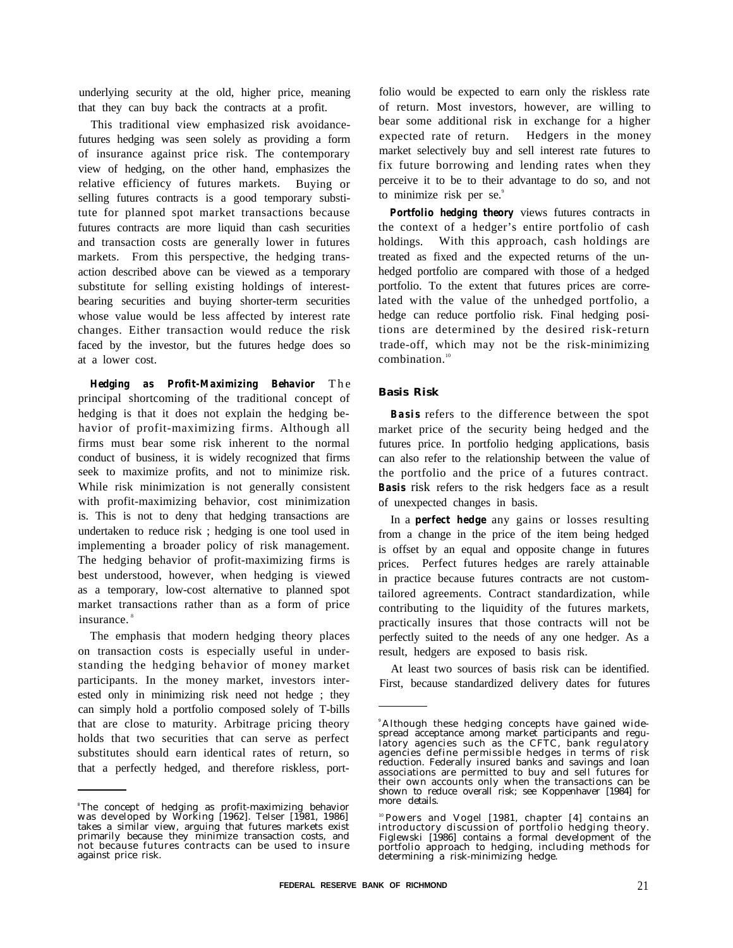underlying security at the old, higher price, meaning that they can buy back the contracts at a profit.

This traditional view emphasized risk avoidancefutures hedging was seen solely as providing a form of insurance against price risk. The contemporary view of hedging, on the other hand, emphasizes the relative efficiency of futures markets. Buying or selling futures contracts is a good temporary substitute for planned spot market transactions because futures contracts are more liquid than cash securities and transaction costs are generally lower in futures markets. From this perspective, the hedging transaction described above can be viewed as a temporary substitute for selling existing holdings of interestbearing securities and buying shorter-term securities whose value would be less affected by interest rate changes. Either transaction would reduce the risk faced by the investor, but the futures hedge does so at a lower cost.

*Hedging as Profit-Maximizing Behavior* T h e principal shortcoming of the traditional concept of hedging is that it does not explain the hedging behavior of profit-maximizing firms. Although all firms must bear some risk inherent to the normal conduct of business, it is widely recognized that firms seek to maximize profits, and not to minimize risk. While risk minimization is not generally consistent with profit-maximizing behavior, cost minimization is. This is not to deny that hedging transactions are undertaken to reduce risk ; hedging is one tool used in implementing a broader policy of risk management. The hedging behavior of profit-maximizing firms is best understood, however, when hedging is viewed as a temporary, low-cost alternative to planned spot market transactions rather than as a form of price insurance.<sup>8</sup>

The emphasis that modern hedging theory places on transaction costs is especially useful in understanding the hedging behavior of money market participants. In the money market, investors interested only in minimizing risk need not hedge ; they can simply hold a portfolio composed solely of T-bills that are close to maturity. Arbitrage pricing theory holds that two securities that can serve as perfect substitutes should earn identical rates of return, so that a perfectly hedged, and therefore riskless, portfolio would be expected to earn only the riskless rate of return. Most investors, however, are willing to bear some additional risk in exchange for a higher expected rate of return. Hedgers in the money market selectively buy and sell interest rate futures to fix future borrowing and lending rates when they perceive it to be to their advantage to do so, and not to minimize risk per se.<sup>9</sup>

**Portfolio hedging theory** views futures contracts in the context of a hedger's entire portfolio of cash holdings. With this approach, cash holdings are treated as fixed and the expected returns of the unhedged portfolio are compared with those of a hedged portfolio. To the extent that futures prices are correlated with the value of the unhedged portfolio, a hedge can reduce portfolio risk. Final hedging positions are determined by the desired risk-return trade-off, which may not be the risk-minimizing combination.<sup>10</sup>

# **Basis Risk**

**Basis** refers to the difference between the spot market price of the security being hedged and the futures price. In portfolio hedging applications, basis can also refer to the relationship between the value of the portfolio and the price of a futures contract. **Basis** risk refers to the risk hedgers face as a result of unexpected changes in basis.

In a *perfect hedge* any gains or losses resulting from a change in the price of the item being hedged is offset by an equal and opposite change in futures prices. Perfect futures hedges are rarely attainable in practice because futures contracts are not customtailored agreements. Contract standardization, while contributing to the liquidity of the futures markets, practically insures that those contracts will not be perfectly suited to the needs of any one hedger. As a result, hedgers are exposed to basis risk.

At least two sources of basis risk can be identified. First, because standardized delivery dates for futures

<sup>8</sup>The concept of hedging as profit-maximizing behavior was developed by Working [1962]. Telser [1981, 1986] takes a similar view, arguing that futures markets exist primarily because they minimize transaction costs, and not because futures contracts can be used to insure against price risk.

<sup>&</sup>lt;sup>8</sup> Although these hedging concepts have gained widespread acceptance among market participants and regulatory agencies such as the CFTC, bank regulatory agencies define permissible hedges in terms of risk reduction. Federally insured banks and savings and loan associations are permitted to buy and sell futures for their own accounts only when the transactions can be shown to reduce overall risk; see Koppenhaver [1984] for more details.

<sup>10</sup>Powers and Vogel [1981, chapter [4] contains an introductory discussion of portfolio hedging theory. Figlewski [1986] contains a formal development of the portfolio approach to hedging, including methods for determining a risk-minimizing hedge.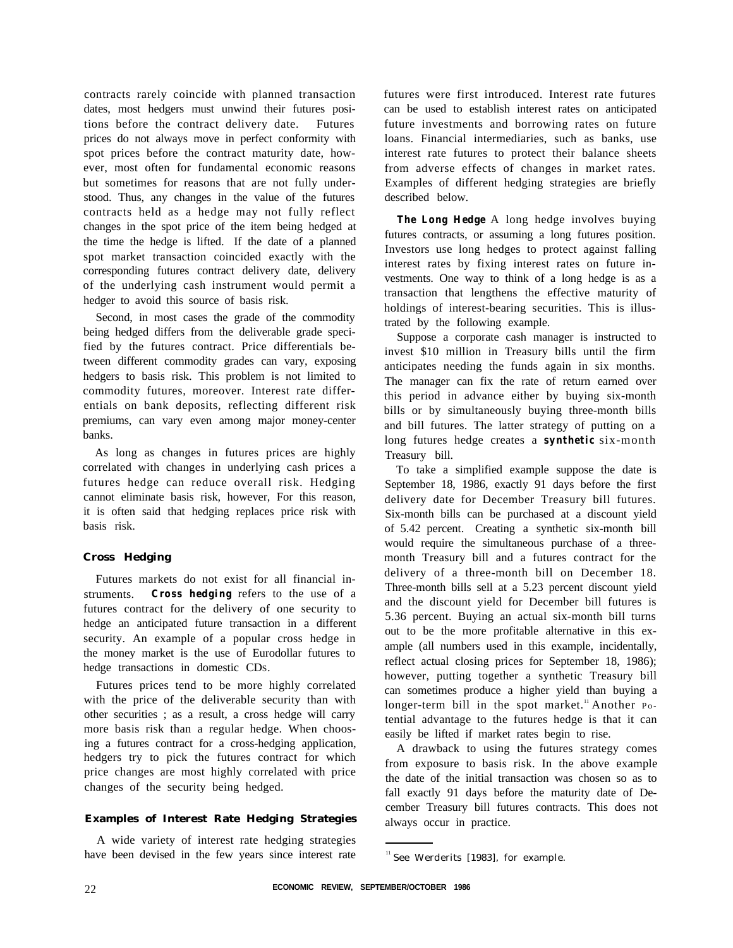contracts rarely coincide with planned transaction dates, most hedgers must unwind their futures positions before the contract delivery date. Futures prices do not always move in perfect conformity with spot prices before the contract maturity date, however, most often for fundamental economic reasons but sometimes for reasons that are not fully understood. Thus, any changes in the value of the futures contracts held as a hedge may not fully reflect changes in the spot price of the item being hedged at the time the hedge is lifted. If the date of a planned spot market transaction coincided exactly with the corresponding futures contract delivery date, delivery of the underlying cash instrument would permit a hedger to avoid this source of basis risk.

Second, in most cases the grade of the commodity being hedged differs from the deliverable grade specified by the futures contract. Price differentials between different commodity grades can vary, exposing hedgers to basis risk. This problem is not limited to commodity futures, moreover. Interest rate differentials on bank deposits, reflecting different risk premiums, can vary even among major money-center banks.

As long as changes in futures prices are highly correlated with changes in underlying cash prices a futures hedge can reduce overall risk. Hedging cannot eliminate basis risk, however, For this reason, it is often said that hedging replaces price risk with basis risk.

# **Cross Hedging**

Futures markets do not exist for all financial instruments. *Cross hedging* refers to the use of a futures contract for the delivery of one security to hedge an anticipated future transaction in a different security. An example of a popular cross hedge in the money market is the use of Eurodollar futures to hedge transactions in domestic CDS.

Futures prices tend to be more highly correlated with the price of the deliverable security than with other securities ; as a result, a cross hedge will carry more basis risk than a regular hedge. When choosing a futures contract for a cross-hedging application, hedgers try to pick the futures contract for which price changes are most highly correlated with price changes of the security being hedged.

# **Examples of Interest Rate Hedging Strategies**

A wide variety of interest rate hedging strategies have been devised in the few years since interest rate futures were first introduced. Interest rate futures can be used to establish interest rates on anticipated future investments and borrowing rates on future loans. Financial intermediaries, such as banks, use interest rate futures to protect their balance sheets from adverse effects of changes in market rates. Examples of different hedging strategies are briefly described below.

*The Long Hedge* A long hedge involves buying futures contracts, or assuming a long futures position. Investors use long hedges to protect against falling interest rates by fixing interest rates on future investments. One way to think of a long hedge is as a transaction that lengthens the effective maturity of holdings of interest-bearing securities. This is illustrated by the following example.

Suppose a corporate cash manager is instructed to invest \$10 million in Treasury bills until the firm anticipates needing the funds again in six months. The manager can fix the rate of return earned over this period in advance either by buying six-month bills or by simultaneously buying three-month bills and bill futures. The latter strategy of putting on a long futures hedge creates a *synthetic* six-month Treasury bill.

To take a simplified example suppose the date is September 18, 1986, exactly 91 days before the first delivery date for December Treasury bill futures. Six-month bills can be purchased at a discount yield of 5.42 percent. Creating a synthetic six-month bill would require the simultaneous purchase of a threemonth Treasury bill and a futures contract for the delivery of a three-month bill on December 18. Three-month bills sell at a 5.23 percent discount yield and the discount yield for December bill futures is 5.36 percent. Buying an actual six-month bill turns out to be the more profitable alternative in this example (all numbers used in this example, incidentally, reflect actual closing prices for September 18, 1986); however, putting together a synthetic Treasury bill can sometimes produce a higher yield than buying a longer-term bill in the spot market.<sup>11</sup> Another  $P_0$ tential advantage to the futures hedge is that it can easily be lifted if market rates begin to rise.

A drawback to using the futures strategy comes from exposure to basis risk. In the above example the date of the initial transaction was chosen so as to fall exactly 91 days before the maturity date of December Treasury bill futures contracts. This does not always occur in practice.

 $11$ <sup>11</sup> See Werderits [1983], for example.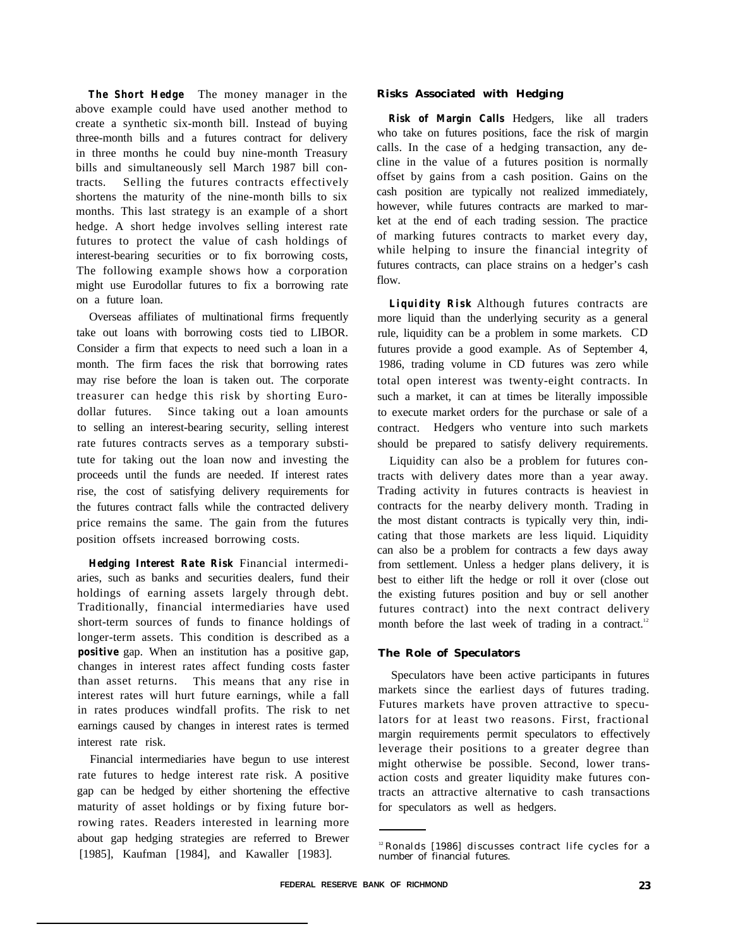*The Short Hedge* The money manager in the above example could have used another method to create a synthetic six-month bill. Instead of buying three-month bills and a futures contract for delivery in three months he could buy nine-month Treasury bills and simultaneously sell March 1987 bill contracts. Selling the futures contracts effectively shortens the maturity of the nine-month bills to six months. This last strategy is an example of a short hedge. A short hedge involves selling interest rate futures to protect the value of cash holdings of interest-bearing securities or to fix borrowing costs, The following example shows how a corporation might use Eurodollar futures to fix a borrowing rate on a future loan.

Overseas affiliates of multinational firms frequently take out loans with borrowing costs tied to LIBOR. Consider a firm that expects to need such a loan in a month. The firm faces the risk that borrowing rates may rise before the loan is taken out. The corporate treasurer can hedge this risk by shorting Eurodollar futures. Since taking out a loan amounts to selling an interest-bearing security, selling interest rate futures contracts serves as a temporary substitute for taking out the loan now and investing the proceeds until the funds are needed. If interest rates rise, the cost of satisfying delivery requirements for the futures contract falls while the contracted delivery price remains the same. The gain from the futures position offsets increased borrowing costs.

*Hedging Interest Rate Risk* Financial intermediaries, such as banks and securities dealers, fund their holdings of earning assets largely through debt. Traditionally, financial intermediaries have used short-term sources of funds to finance holdings of longer-term assets. This condition is described as a **positive** gap. When an institution has a positive gap, changes in interest rates affect funding costs faster than asset returns. This means that any rise in interest rates will hurt future earnings, while a fall in rates produces windfall profits. The risk to net earnings caused by changes in interest rates is termed interest rate risk.

Financial intermediaries have begun to use interest rate futures to hedge interest rate risk. A positive gap can be hedged by either shortening the effective maturity of asset holdings or by fixing future borrowing rates. Readers interested in learning more about gap hedging strategies are referred to Brewer [1985], Kaufman [1984], and Kawaller [1983].

#### **Risks Associated with Hedging**

*Risk of Margin Calls* Hedgers, like all traders who take on futures positions, face the risk of margin calls. In the case of a hedging transaction, any decline in the value of a futures position is normally offset by gains from a cash position. Gains on the cash position are typically not realized immediately, however, while futures contracts are marked to market at the end of each trading session. The practice of marking futures contracts to market every day, while helping to insure the financial integrity of futures contracts, can place strains on a hedger's cash flow.

*Liquidity Risk* Although futures contracts are more liquid than the underlying security as a general rule, liquidity can be a problem in some markets. CD futures provide a good example. As of September 4, 1986, trading volume in CD futures was zero while total open interest was twenty-eight contracts. In such a market, it can at times be literally impossible to execute market orders for the purchase or sale of a contract. Hedgers who venture into such markets should be prepared to satisfy delivery requirements.

Liquidity can also be a problem for futures contracts with delivery dates more than a year away. Trading activity in futures contracts is heaviest in contracts for the nearby delivery month. Trading in the most distant contracts is typically very thin, indicating that those markets are less liquid. Liquidity can also be a problem for contracts a few days away from settlement. Unless a hedger plans delivery, it is best to either lift the hedge or roll it over (close out the existing futures position and buy or sell another futures contract) into the next contract delivery month before the last week of trading in a contract.<sup>12</sup>

#### **The Role of Speculators**

Speculators have been active participants in futures markets since the earliest days of futures trading. Futures markets have proven attractive to speculators for at least two reasons. First, fractional margin requirements permit speculators to effectively leverage their positions to a greater degree than might otherwise be possible. Second, lower transaction costs and greater liquidity make futures contracts an attractive alternative to cash transactions for speculators as well as hedgers.

 $12$ Ronalds [1986] discusses contract life cycles for a number of financial futures.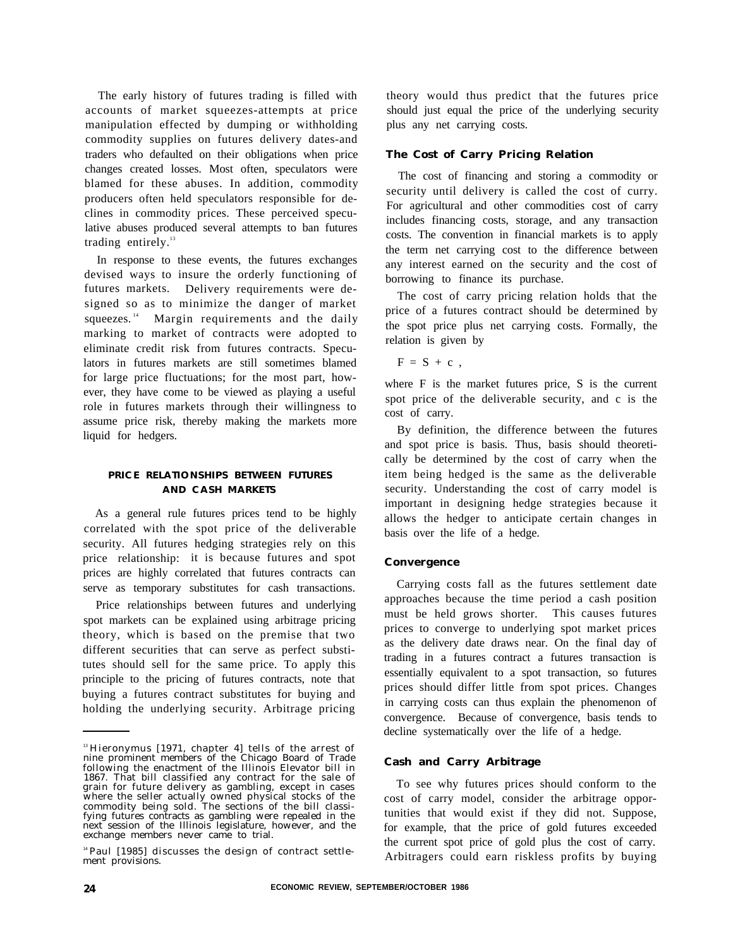The early history of futures trading is filled with accounts of market squeezes-attempts at price manipulation effected by dumping or withholding commodity supplies on futures delivery dates-and traders who defaulted on their obligations when price changes created losses. Most often, speculators were blamed for these abuses. In addition, commodity producers often held speculators responsible for declines in commodity prices. These perceived speculative abuses produced several attempts to ban futures trading entirely.<sup>13</sup>

In response to these events, the futures exchanges devised ways to insure the orderly functioning of futures markets. Delivery requirements were designed so as to minimize the danger of market squeezes.<sup>14</sup> Margin requirements and the daily marking to market of contracts were adopted to eliminate credit risk from futures contracts. Speculators in futures markets are still sometimes blamed for large price fluctuations; for the most part, however, they have come to be viewed as playing a useful role in futures markets through their willingness to assume price risk, thereby making the markets more liquid for hedgers.

# **PRICE RELATIONSHIPS BETWEEN FUTURES AND CASH MARKETS**

As a general rule futures prices tend to be highly correlated with the spot price of the deliverable security. All futures hedging strategies rely on this price relationship: it is because futures and spot prices are highly correlated that futures contracts can serve as temporary substitutes for cash transactions.

Price relationships between futures and underlying spot markets can be explained using arbitrage pricing theory, which is based on the premise that two different securities that can serve as perfect substitutes should sell for the same price. To apply this principle to the pricing of futures contracts, note that buying a futures contract substitutes for buying and holding the underlying security. Arbitrage pricing

theory would thus predict that the futures price should just equal the price of the underlying security plus any net carrying costs.

# **The Cost of Carry Pricing Relation**

The cost of financing and storing a commodity or security until delivery is called the cost of curry. For agricultural and other commodities cost of carry includes financing costs, storage, and any transaction costs. The convention in financial markets is to apply the term net carrying cost to the difference between any interest earned on the security and the cost of borrowing to finance its purchase.

The cost of carry pricing relation holds that the price of a futures contract should be determined by the spot price plus net carrying costs. Formally, the relation is given by

 $F = S + c$ 

where F is the market futures price, S is the current spot price of the deliverable security, and c is the cost of carry.

By definition, the difference between the futures and spot price is basis. Thus, basis should theoretically be determined by the cost of carry when the item being hedged is the same as the deliverable security. Understanding the cost of carry model is important in designing hedge strategies because it allows the hedger to anticipate certain changes in basis over the life of a hedge.

# **Convergence**

Carrying costs fall as the futures settlement date approaches because the time period a cash position must be held grows shorter. This causes futures prices to converge to underlying spot market prices as the delivery date draws near. On the final day of trading in a futures contract a futures transaction is essentially equivalent to a spot transaction, so futures prices should differ little from spot prices. Changes in carrying costs can thus explain the phenomenon of convergence. Because of convergence, basis tends to decline systematically over the life of a hedge.

#### **Cash and Carry Arbitrage**

To see why futures prices should conform to the cost of carry model, consider the arbitrage opportunities that would exist if they did not. Suppose, for example, that the price of gold futures exceeded the current spot price of gold plus the cost of carry. Arbitragers could earn riskless profits by buying

<sup>13</sup>Hieronymus [1971, chapter 4] tells of the arrest of nine prominent members of the Chicago Board of Trade following the enactment of the Illinois Elevator bill in 1867. That bill classified any contract for the sale of grain for future delivery as gambling, except in cases where the seller actually owned physical stocks of the commodity being sold. The sections of the bill classifying futures contracts as gambling were repealed in the next session of the Illinois legislature, however, and the exchange members never came to trial.

<sup>14</sup> Paul [1985] discusses the design of contract settlement provisions.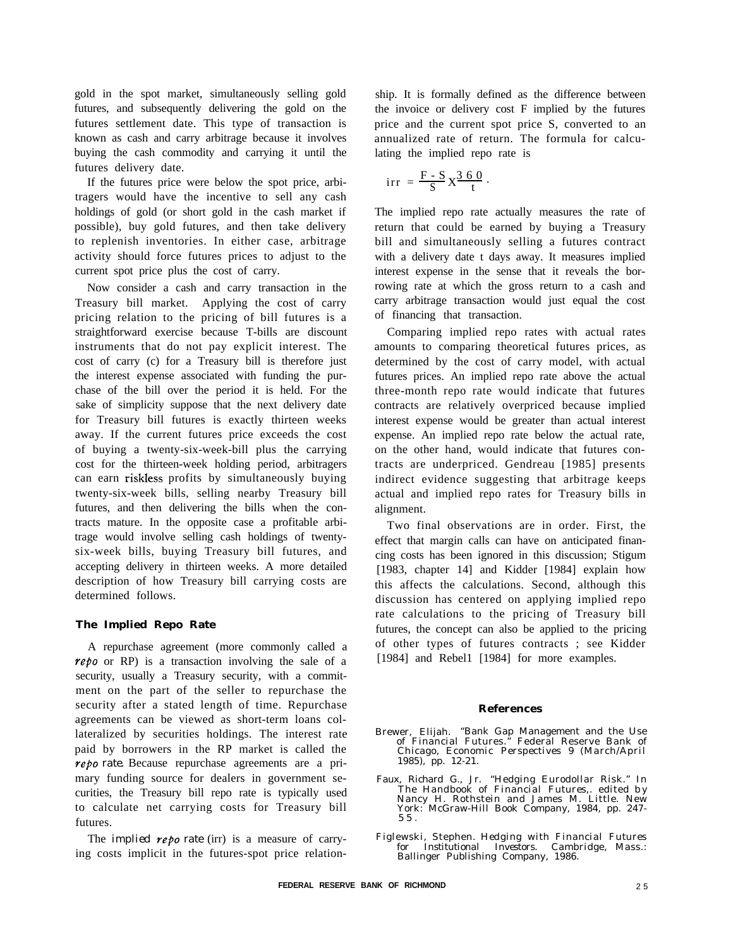gold in the spot market, simultaneously selling gold futures, and subsequently delivering the gold on the futures settlement date. This type of transaction is known as cash and carry arbitrage because it involves buying the cash commodity and carrying it until the futures delivery date.

If the futures price were below the spot price, arbitragers would have the incentive to sell any cash holdings of gold (or short gold in the cash market if possible), buy gold futures, and then take delivery to replenish inventories. In either case, arbitrage activity should force futures prices to adjust to the current spot price plus the cost of carry.

Now consider a cash and carry transaction in the Treasury bill market. Applying the cost of carry pricing relation to the pricing of bill futures is a straightforward exercise because T-bills are discount instruments that do not pay explicit interest. The cost of carry (c) for a Treasury bill is therefore just the interest expense associated with funding the purchase of the bill over the period it is held. For the sake of simplicity suppose that the next delivery date for Treasury bill futures is exactly thirteen weeks away. If the current futures price exceeds the cost of buying a twenty-six-week-bill plus the carrying cost for the thirteen-week holding period, arbitragers can earn riskless profits by simultaneously buying twenty-six-week bills, selling nearby Treasury bill futures, and then delivering the bills when the contracts mature. In the opposite case a profitable arbitrage would involve selling cash holdings of twentysix-week bills, buying Treasury bill futures, and accepting delivery in thirteen weeks. A more detailed description of how Treasury bill carrying costs are determined follows.

#### **The Implied Repo Rate**

A repurchase agreement (more commonly called a  $repo$  or RP) is a transaction involving the sale of a security, usually a Treasury security, with a commitment on the part of the seller to repurchase the security after a stated length of time. Repurchase agreements can be viewed as short-term loans collateralized by securities holdings. The interest rate paid by borrowers in the RP market is called the repo *rate.* Because repurchase agreements are a primary funding source for dealers in government securities, the Treasury bill repo rate is typically used to calculate net carrying costs for Treasury bill futures.

The *implied repo rate* (irr) is a measure of carrying costs implicit in the futures-spot price relation-

ship. It is formally defined as the difference between the invoice or delivery cost F implied by the futures price and the current spot price S, converted to an annualized rate of return. The formula for calculating the implied repo rate is

$$
irr = \frac{F-S}{S}X\frac{360}{t}.
$$

The implied repo rate actually measures the rate of return that could be earned by buying a Treasury bill and simultaneously selling a futures contract with a delivery date t days away. It measures implied interest expense in the sense that it reveals the borrowing rate at which the gross return to a cash and carry arbitrage transaction would just equal the cost of financing that transaction.

Comparing implied repo rates with actual rates amounts to comparing theoretical futures prices, as determined by the cost of carry model, with actual futures prices. An implied repo rate above the actual three-month repo rate would indicate that futures contracts are relatively overpriced because implied interest expense would be greater than actual interest expense. An implied repo rate below the actual rate, on the other hand, would indicate that futures contracts are underpriced. Gendreau [1985] presents indirect evidence suggesting that arbitrage keeps actual and implied repo rates for Treasury bills in alignment.

Two final observations are in order. First, the effect that margin calls can have on anticipated financing costs has been ignored in this discussion; Stigum [1983, chapter 14] and Kidder [1984] explain how this affects the calculations. Second, although this discussion has centered on applying implied repo rate calculations to the pricing of Treasury bill futures, the concept can also be applied to the pricing of other types of futures contracts ; see Kidder [1984] and Rebel1 [1984] for more examples.

#### **References**

- Brewer, Elijah. "Bank Gap Management and the Use of Financial Futures." Federal Reserve Bank of Chicago, *Economic Perspectives* 9 (March/April 1985), pp. 12-21.
- Faux, Richard G., Jr. "Hedging Eurodollar Risk." In *The Handbook of Financial Futures,.* edited *b y* Nancy H. Rothstein and James M. Little. New York: McGraw-Hill Book Company, 1984, pp. 247- 5 5 .
- Figlewski, Stephen. *Hedging with Financial Futures Institutional Investors.* Cambridge, Mass.: Ballinger Publishing Company, 1986.